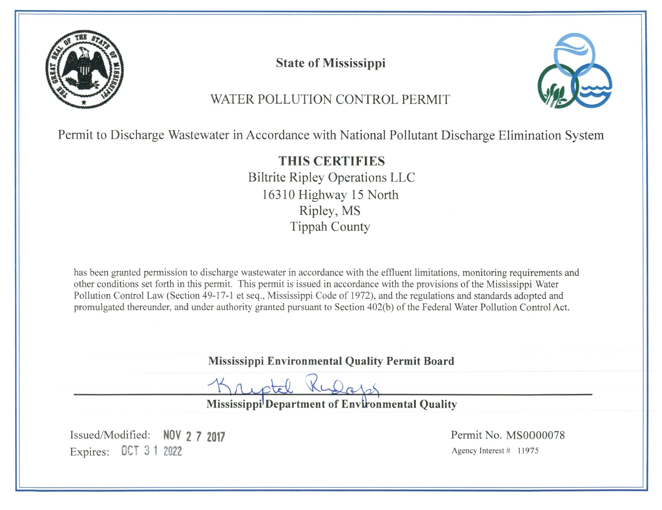

**State of Mississippi** 



# WATER POLLUTION CONTROL PERMIT

Permit to Discharge Wastewater in Accordance with National Pollutant Discharge Elimination System

**THIS CERTIFIES Biltrite Ripley Operations LLC** 16310 Highway 15 North Ripley, MS **Tippah County** 

has been granted permission to discharge wastewater in accordance with the effluent limitations, monitoring requirements and other conditions set forth in this permit. This permit is issued in accordance with the provisions of the Mississippi Water Pollution Control Law (Section 49-17-1 et seq., Mississippi Code of 1972), and the regulations and standards adopted and promulgated thereunder, and under authority granted pursuant to Section 402(b) of the Federal Water Pollution Control Act.

Mississippi Environmental Quality Permit Board

Kulap

Mississippi<sup>l</sup>Department of Environmental Quality

Issued/Modified: NOV 2 7 2017 Expires: 0CT 3 1 2022

Permit No. MS0000078 Agency Interest  $#$  11975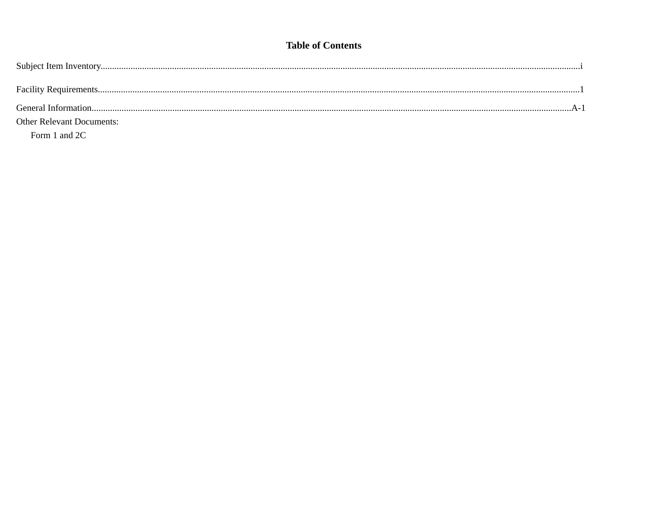# **Table of Contents**

| <b>Other Relevant Documents:</b> |  |
|----------------------------------|--|
| Form 1 and 2C                    |  |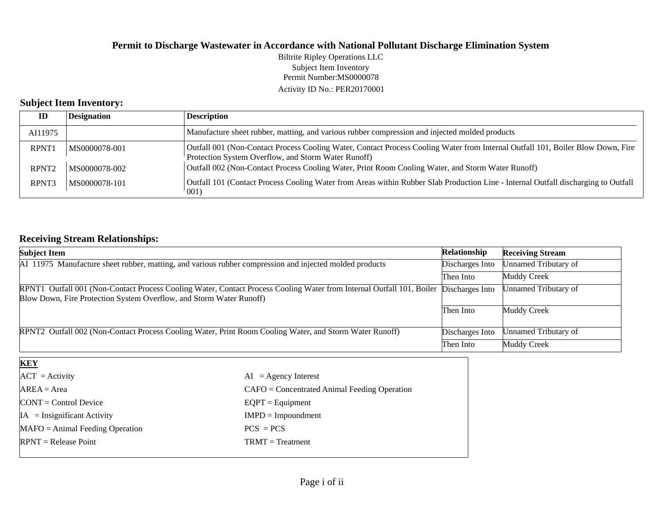Permit Number:MS0000078 Activity ID No.: PER20170001 Biltrite Ripley Operations LLC Subject Item Inventory

# **Subject Item Inventory:**

| ID                | <b>Designation</b> | <b>Description</b>                                                                                                                                                                     |
|-------------------|--------------------|----------------------------------------------------------------------------------------------------------------------------------------------------------------------------------------|
| AI11975           |                    | Manufacture sheet rubber, matting, and various rubber compression and injected molded products                                                                                         |
| <b>RPNT1</b>      | MS0000078-001      | Outfall 001 (Non-Contact Process Cooling Water, Contact Process Cooling Water from Internal Outfall 101, Boiler Blow Down, Fire<br>Protection System Overflow, and Storm Water Runoff) |
| RPNT <sub>2</sub> | MS0000078-002      | Outfall 002 (Non-Contact Process Cooling Water, Print Room Cooling Water, and Storm Water Runoff)                                                                                      |
| RPNT <sub>3</sub> | MS0000078-101      | Outfall 101 (Contact Process Cooling Water from Areas within Rubber Slab Production Line - Internal Outfall discharging to Outfall<br>001)                                             |

# **Receiving Stream Relationships:**

| <b>Subject Item</b>                                                                                                                                                                          | Relationship    | <b>Receiving Stream</b> |
|----------------------------------------------------------------------------------------------------------------------------------------------------------------------------------------------|-----------------|-------------------------|
| AI 11975 Manufacture sheet rubber, matting, and various rubber compression and injected molded products                                                                                      | Discharges Into | Unnamed Tributary of    |
|                                                                                                                                                                                              | Then Into       | Muddy Creek             |
| RPNT1 Outfall 001 (Non-Contact Process Cooling Water, Contact Process Cooling Water from Internal Outfall 101, Boiler<br>Blow Down, Fire Protection System Overflow, and Storm Water Runoff) | Discharges Into | Unnamed Tributary of    |
|                                                                                                                                                                                              | Then Into       | Muddy Creek             |
| RPNT2 Outfall 002 (Non-Contact Process Cooling Water, Print Room Cooling Water, and Storm Water Runoff)                                                                                      | Discharges Into | Unnamed Tributary of    |
|                                                                                                                                                                                              | Then Into       | Muddy Creek             |
| <b>KEY</b>                                                                                                                                                                                   |                 |                         |

| $ ACT $ = Activity                    | $AI = Agency Interest$                         |
|---------------------------------------|------------------------------------------------|
| $AREA = Area$                         | $CAFO =$ Concentrated Animal Feeding Operation |
| $\text{CONT} = \text{Control Device}$ | $EQPT =$ Equipment                             |
| $IA = Insignificant Activity$         | $IMPD = Impoundment$                           |
| $MAFO = Animal Feeding Operation$     | $PCS = PCS$                                    |
| $RPNT = Release Point$                | $TRMT = Treatment$                             |
|                                       |                                                |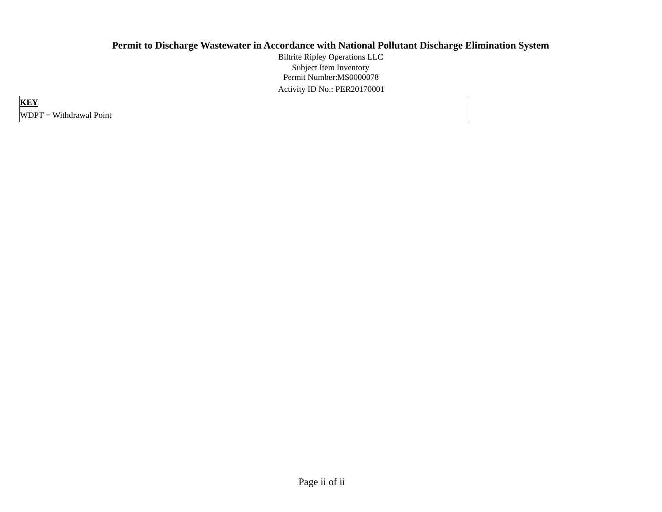Permit Number:MS0000078 Activity ID No.: PER20170001 Biltrite Ripley Operations LLC Subject Item Inventory

**KEY** WDPT = Withdrawal Point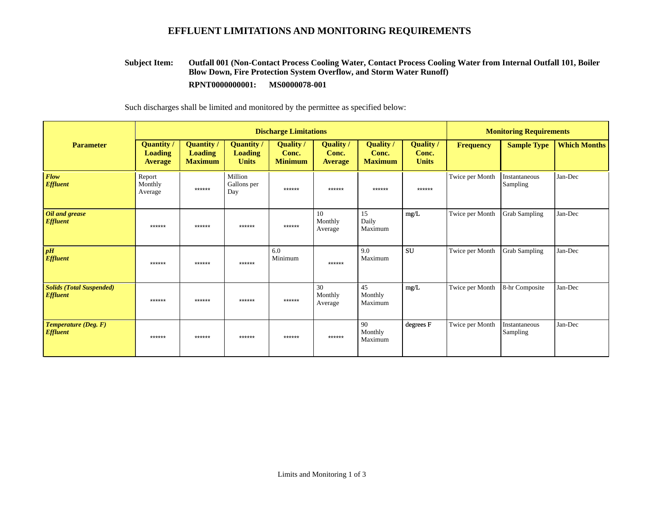## **EFFLUENT LIMITATIONS AND MONITORING REQUIREMENTS**

#### **Outfall 001 (Non-Contact Process Cooling Water, Contact Process Cooling Water from Internal Outfall 101, Boiler Blow Down, Fire Protection System Overflow, and Storm Water Runoff) RPNT0000000001: MS0000078-001 Subject Item:**

Such discharges shall be limited and monitored by the permittee as specified below:

|                                                    | <b>Discharge Limitations</b>                          |                                                       |                                                     |                                           |                                      |                                           |                                           | <b>Monitoring Requirements</b> |                           |                     |
|----------------------------------------------------|-------------------------------------------------------|-------------------------------------------------------|-----------------------------------------------------|-------------------------------------------|--------------------------------------|-------------------------------------------|-------------------------------------------|--------------------------------|---------------------------|---------------------|
| <b>Parameter</b>                                   | <b>Quantity</b> /<br><b>Loading</b><br><b>Average</b> | <b>Quantity</b> /<br><b>Loading</b><br><b>Maximum</b> | <b>Quantity</b> /<br><b>Loading</b><br><b>Units</b> | <b>Quality</b><br>Conc.<br><b>Minimum</b> | Quality /<br>Conc.<br><b>Average</b> | <b>Quality</b><br>Conc.<br><b>Maximum</b> | <b>Quality</b> /<br>Conc.<br><b>Units</b> | <b>Frequency</b>               | <b>Sample Type</b>        | <b>Which Months</b> |
| <b>Flow</b><br><b>Effluent</b>                     | Report<br>Monthly<br>Average                          | ******                                                | Million<br>Gallons per<br>Day                       | ******                                    | ******                               | ******                                    | ******                                    | Twice per Month                | Instantaneous<br>Sampling | Jan-Dec             |
| Oil and grease<br><b>Effluent</b>                  | ******                                                | ******                                                | ******                                              | ******                                    | 10<br>Monthly<br>Average             | 15<br>Daily<br>Maximum                    | mg/L                                      | Twice per Month                | <b>Grab Sampling</b>      | Jan-Dec             |
| pH<br><b>Effluent</b>                              | ******                                                | ******                                                | ******                                              | 6.0<br>Minimum                            | ******                               | 9.0<br>Maximum                            | <b>SU</b>                                 | Twice per Month                | Grab Sampling             | Jan-Dec             |
| <b>Solids (Total Suspended)</b><br><b>Effluent</b> | ******                                                | ******                                                | ******                                              | ******                                    | 30<br>Monthly<br>Average             | 45<br>Monthly<br>Maximum                  | mg/L                                      | Twice per Month                | 8-hr Composite            | Jan-Dec             |
| Temperature (Deg. F)<br><b>Effluent</b>            | ******                                                | ******                                                | ******                                              | ******                                    | ******                               | 90<br>Monthly<br>Maximum                  | degrees F                                 | Twice per Month                | Instantaneous<br>Sampling | Jan-Dec             |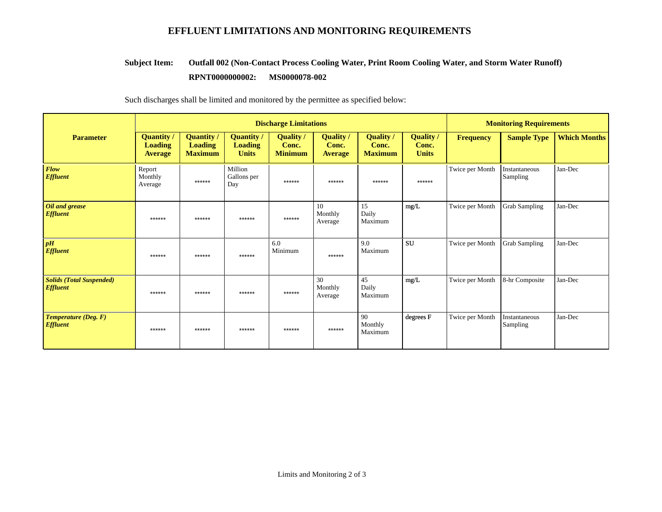# **EFFLUENT LIMITATIONS AND MONITORING REQUIREMENTS**

#### **Outfall 002 (Non-Contact Process Cooling Water, Print Room Cooling Water, and Storm Water Runoff) Subject Item:**

#### **RPNT0000000002:** MS0000078-002

Such discharges shall be limited and monitored by the permittee as specified below:

|                                                    | <b>Discharge Limitations</b>                          |                                                       |                                                     |                                           |                                             |                                             |                                           | <b>Monitoring Requirements</b> |                           |                     |
|----------------------------------------------------|-------------------------------------------------------|-------------------------------------------------------|-----------------------------------------------------|-------------------------------------------|---------------------------------------------|---------------------------------------------|-------------------------------------------|--------------------------------|---------------------------|---------------------|
| <b>Parameter</b>                                   | <b>Quantity /</b><br><b>Loading</b><br><b>Average</b> | <b>Quantity /</b><br><b>Loading</b><br><b>Maximum</b> | <b>Quantity /</b><br><b>Loading</b><br><b>Units</b> | <b>Quality</b><br>Conc.<br><b>Minimum</b> | <b>Quality</b> /<br>Conc.<br><b>Average</b> | <b>Quality</b> /<br>Conc.<br><b>Maximum</b> | <b>Quality</b> /<br>Conc.<br><b>Units</b> | Frequency                      | <b>Sample Type</b>        | <b>Which Months</b> |
| <b>Flow</b><br><b>Effluent</b>                     | Report<br>Monthly<br>Average                          | ******                                                | Million<br>Gallons per<br>Day                       | ******                                    | ******                                      | ******                                      | ******                                    | Twice per Month                | Instantaneous<br>Sampling | Jan-Dec             |
| Oil and grease<br><b>Effluent</b>                  | ******                                                | ******                                                | ******                                              | ******                                    | 10<br>Monthly<br>Average                    | 15<br>Daily<br>Maximum                      | mg/L                                      | Twice per Month                | <b>Grab Sampling</b>      | Jan-Dec             |
| pH<br><b>Effluent</b>                              | ******                                                | ******                                                | ******                                              | 6.0<br>Minimum                            | ******                                      | 9.0<br>Maximum                              | <b>SU</b>                                 | Twice per Month                | <b>Grab Sampling</b>      | Jan-Dec             |
| <b>Solids (Total Suspended)</b><br><b>Effluent</b> | ******                                                | ******                                                | ******                                              | ******                                    | 30<br>Monthly<br>Average                    | 45<br>Daily<br>Maximum                      | mg/L                                      | Twice per Month                | 8-hr Composite            | Jan-Dec             |
| Temperature (Deg. F)<br><b>Effluent</b>            | ******                                                | ******                                                | ******                                              | ******                                    | ******                                      | 90<br>Monthly<br>Maximum                    | degrees F                                 | Twice per Month                | Instantaneous<br>Sampling | Jan-Dec             |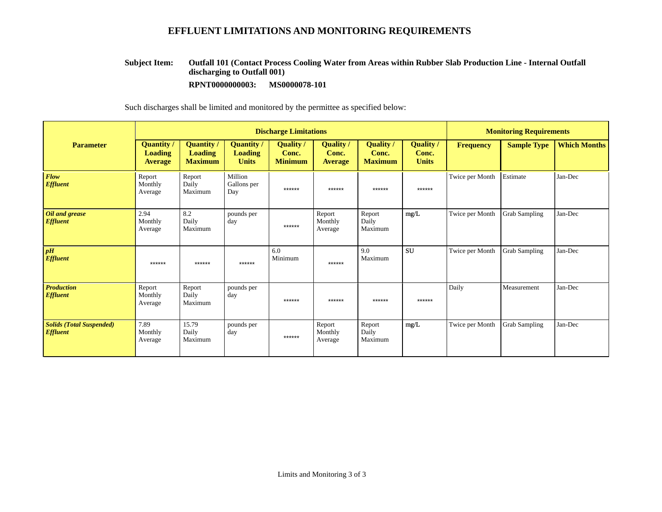# **EFFLUENT LIMITATIONS AND MONITORING REQUIREMENTS**

#### **Outfall 101 (Contact Process Cooling Water from Areas within Rubber Slab Production Line - Internal Outfall discharging to Outfall 001) Subject Item:**

**RPNT0000000003: MS0000078-101**

Such discharges shall be limited and monitored by the permittee as specified below:

|                                                    | <b>Discharge Limitations</b>                   |                                                       |                                                     |                                           |                                             |                                             |                                           | <b>Monitoring Requirements</b> |                      |                     |
|----------------------------------------------------|------------------------------------------------|-------------------------------------------------------|-----------------------------------------------------|-------------------------------------------|---------------------------------------------|---------------------------------------------|-------------------------------------------|--------------------------------|----------------------|---------------------|
| <b>Parameter</b>                                   | Quantity /<br><b>Loading</b><br><b>Average</b> | <b>Quantity</b> /<br><b>Loading</b><br><b>Maximum</b> | <b>Quantity</b> /<br><b>Loading</b><br><b>Units</b> | <b>Quality</b><br>Conc.<br><b>Minimum</b> | <b>Quality</b> /<br>Conc.<br><b>Average</b> | <b>Quality</b> /<br>Conc.<br><b>Maximum</b> | <b>Quality</b> /<br>Conc.<br><b>Units</b> | <b>Frequency</b>               | <b>Sample Type</b>   | <b>Which Months</b> |
| <b>Flow</b><br><b>Effluent</b>                     | Report<br>Monthly<br>Average                   | Report<br>Daily<br>Maximum                            | Million<br>Gallons per<br>Day                       | ******                                    | ******                                      | ******                                      | $******$                                  | Twice per Month                | Estimate             | Jan-Dec             |
| Oil and grease<br><b>Effluent</b>                  | 2.94<br>Monthly<br>Average                     | 8.2<br>Daily<br>Maximum                               | pounds per<br>day                                   | ******                                    | Report<br>Monthly<br>Average                | Report<br>Daily<br>Maximum                  | mg/L                                      | Twice per Month                | <b>Grab Sampling</b> | Jan-Dec             |
| pH<br><b>Effluent</b>                              | ******                                         | ******                                                | ******                                              | 6.0<br>Minimum                            | ******                                      | 9.0<br>Maximum                              | <b>SU</b>                                 | Twice per Month                | Grab Sampling        | Jan-Dec             |
| <b>Production</b><br><b>Effluent</b>               | Report<br>Monthly<br>Average                   | Report<br>Daily<br>Maximum                            | pounds per<br>day                                   | ******                                    | ******                                      | ******                                      | ******                                    | Daily                          | Measurement          | Jan-Dec             |
| <b>Solids (Total Suspended)</b><br><b>Effluent</b> | 7.89<br>Monthly<br>Average                     | 15.79<br>Daily<br>Maximum                             | pounds per<br>day                                   | ******                                    | Report<br>Monthly<br>Average                | Report<br>Daily<br>Maximum                  | mg/L                                      | Twice per Month                | Grab Sampling        | Jan-Dec             |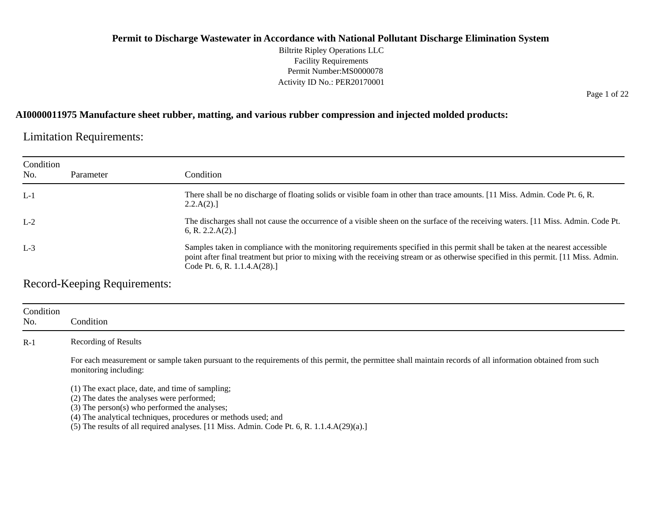#### **Permit to Discharge Wastewater in Accordance with National Pollutant Discharge Elimination System** Biltrite Ripley Operations LLC Facility Requirements Permit Number:MS0000078 Activity ID No.: PER20170001

Page 1 of 22

#### **AI0000011975 Manufacture sheet rubber, matting, and various rubber compression and injected molded products:**

Limitation Requirements:

| Condition<br>No. | Parameter | Condition                                                                                                                                                                                                                                                                                               |
|------------------|-----------|---------------------------------------------------------------------------------------------------------------------------------------------------------------------------------------------------------------------------------------------------------------------------------------------------------|
| $L-1$            |           | There shall be no discharge of floating solids or visible foam in other than trace amounts. [11 Miss. Admin. Code Pt. 6, R.<br>2.2.A(2).                                                                                                                                                                |
| $L-2$            |           | The discharges shall not cause the occurrence of a visible sheen on the surface of the receiving waters. [11 Miss. Admin. Code Pt.<br>6, R. 2.2. $A(2)$ .]                                                                                                                                              |
| $L-3$            |           | Samples taken in compliance with the monitoring requirements specified in this permit shall be taken at the nearest accessible<br>point after final treatment but prior to mixing with the receiving stream or as otherwise specified in this permit. [11 Miss. Admin.<br>Code Pt. 6, R. $1.1.4.A(28).$ |

Record-Keeping Requirements:

| Condition<br>No. | Condition                                                                                                                                                                                                         |
|------------------|-------------------------------------------------------------------------------------------------------------------------------------------------------------------------------------------------------------------|
| $R-1$            | Recording of Results                                                                                                                                                                                              |
|                  | For each measurement or sample taken pursuant to the requirements of this permit, the permittee shall maintain records of all information obtained from such<br>monitoring including:                             |
|                  | (1) The exact place, date, and time of sampling;<br>(2) The dates the analyses were performed;<br>(3) The person(s) who performed the analyses;<br>(4) The analytical techniques, procedures or methods used; and |

 $(5)$  The results of all required analyses. [11 Miss. Admin. Code Pt. 6, R. 1.1.4.A $(29)(a)$ .]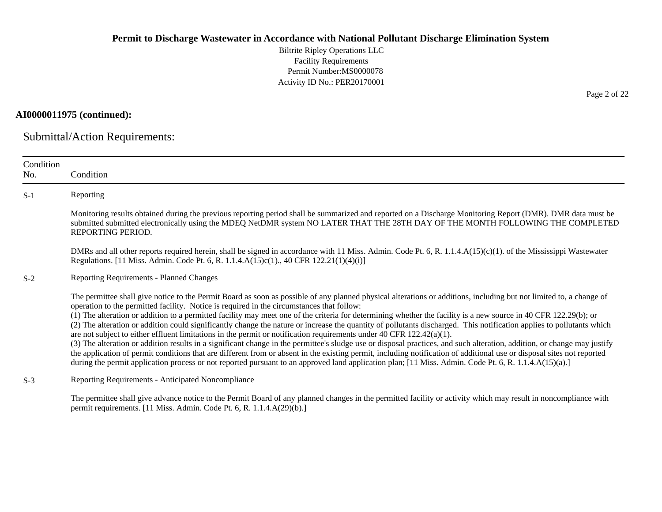Biltrite Ripley Operations LLC Facility Requirements Permit Number:MS0000078 Activity ID No.: PER20170001

**AI0000011975 (continued):**

Submittal/Action Requirements:

permit requirements. [11 Miss. Admin. Code Pt. 6, R. 1.1.4.A(29)(b).]

| Condition<br>No. | Condition                                                                                                                                                                                                                                                                                                                                                                                                                                                                                                                                                                                                                                                                                                                                                                                                                                                                                                                                                                                                                                                                                                                                                                                                                                               |
|------------------|---------------------------------------------------------------------------------------------------------------------------------------------------------------------------------------------------------------------------------------------------------------------------------------------------------------------------------------------------------------------------------------------------------------------------------------------------------------------------------------------------------------------------------------------------------------------------------------------------------------------------------------------------------------------------------------------------------------------------------------------------------------------------------------------------------------------------------------------------------------------------------------------------------------------------------------------------------------------------------------------------------------------------------------------------------------------------------------------------------------------------------------------------------------------------------------------------------------------------------------------------------|
| $S-1$            | Reporting                                                                                                                                                                                                                                                                                                                                                                                                                                                                                                                                                                                                                                                                                                                                                                                                                                                                                                                                                                                                                                                                                                                                                                                                                                               |
|                  | Monitoring results obtained during the previous reporting period shall be summarized and reported on a Discharge Monitoring Report (DMR). DMR data must be<br>submitted submitted electronically using the MDEQ NetDMR system NO LATER THAT THE 28TH DAY OF THE MONTH FOLLOWING THE COMPLETED<br>REPORTING PERIOD.                                                                                                                                                                                                                                                                                                                                                                                                                                                                                                                                                                                                                                                                                                                                                                                                                                                                                                                                      |
|                  | DMRs and all other reports required herein, shall be signed in accordance with 11 Miss. Admin. Code Pt. 6, R. 1.1.4.A(15)(c)(1). of the Mississippi Wastewater<br>Regulations. [11 Miss. Admin. Code Pt. 6, R. 1.1.4.A(15)c(1)., 40 CFR 122.21(1)(4)(i)]                                                                                                                                                                                                                                                                                                                                                                                                                                                                                                                                                                                                                                                                                                                                                                                                                                                                                                                                                                                                |
| $S-2$            | <b>Reporting Requirements - Planned Changes</b>                                                                                                                                                                                                                                                                                                                                                                                                                                                                                                                                                                                                                                                                                                                                                                                                                                                                                                                                                                                                                                                                                                                                                                                                         |
|                  | The permittee shall give notice to the Permit Board as soon as possible of any planned physical alterations or additions, including but not limited to, a change of<br>operation to the permitted facility. Notice is required in the circumstances that follow:<br>(1) The alteration or addition to a permitted facility may meet one of the criteria for determining whether the facility is a new source in 40 CFR 122.29(b); or<br>(2) The alteration or addition could significantly change the nature or increase the quantity of pollutants discharged. This notification applies to pollutants which<br>are not subject to either effluent limitations in the permit or notification requirements under 40 CFR $122.42(a)(1)$ .<br>(3) The alteration or addition results in a significant change in the permittee's sludge use or disposal practices, and such alteration, addition, or change may justify<br>the application of permit conditions that are different from or absent in the existing permit, including notification of additional use or disposal sites not reported<br>during the permit application process or not reported pursuant to an approved land application plan; [11 Miss. Admin. Code Pt. 6, R. 1.1.4.A(15)(a).] |
| $S-3$            | Reporting Requirements - Anticipated Noncompliance                                                                                                                                                                                                                                                                                                                                                                                                                                                                                                                                                                                                                                                                                                                                                                                                                                                                                                                                                                                                                                                                                                                                                                                                      |
|                  | The permittee shall give advance notice to the Permit Board of any planned changes in the permitted facility or activity which may result in noncompliance with                                                                                                                                                                                                                                                                                                                                                                                                                                                                                                                                                                                                                                                                                                                                                                                                                                                                                                                                                                                                                                                                                         |

Page 2 of 22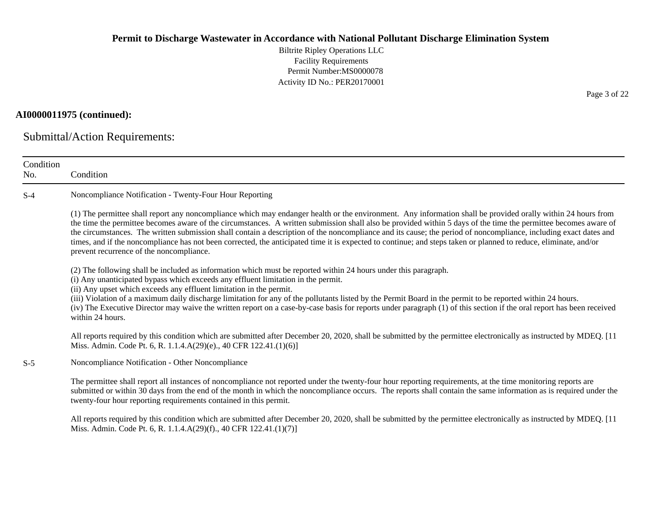Biltrite Ripley Operations LLC Facility Requirements Permit Number:MS0000078 Activity ID No.: PER20170001

## **AI0000011975 (continued):**

Submittal/Action Requirements:

| Condition<br>No. | Condition                                                                                                                                                                                                                                                                                                                                                                                                                                                                                                                                                                                                                                                                                                           |  |  |  |  |  |  |  |
|------------------|---------------------------------------------------------------------------------------------------------------------------------------------------------------------------------------------------------------------------------------------------------------------------------------------------------------------------------------------------------------------------------------------------------------------------------------------------------------------------------------------------------------------------------------------------------------------------------------------------------------------------------------------------------------------------------------------------------------------|--|--|--|--|--|--|--|
| $S-4$            | Noncompliance Notification - Twenty-Four Hour Reporting                                                                                                                                                                                                                                                                                                                                                                                                                                                                                                                                                                                                                                                             |  |  |  |  |  |  |  |
|                  | (1) The permittee shall report any noncompliance which may endanger health or the environment. Any information shall be provided orally within 24 hours from<br>the time the permittee becomes aware of the circumstances. A written submission shall also be provided within 5 days of the time the permittee becomes aware of<br>the circumstances. The written submission shall contain a description of the noncompliance and its cause; the period of noncompliance, including exact dates and<br>times, and if the noncompliance has not been corrected, the anticipated time it is expected to continue; and steps taken or planned to reduce, eliminate, and/or<br>prevent recurrence of the noncompliance. |  |  |  |  |  |  |  |
|                  | (2) The following shall be included as information which must be reported within 24 hours under this paragraph.<br>(i) Any unanticipated bypass which exceeds any effluent limitation in the permit.<br>(ii) Any upset which exceeds any effluent limitation in the permit.<br>(iii) Violation of a maximum daily discharge limitation for any of the pollutants listed by the Permit Board in the permit to be reported within 24 hours.<br>(iv) The Executive Director may waive the written report on a case-by-case basis for reports under paragraph (1) of this section if the oral report has been received<br>within 24 hours.                                                                              |  |  |  |  |  |  |  |
|                  | All reports required by this condition which are submitted after December 20, 2020, shall be submitted by the permittee electronically as instructed by MDEQ. [11]<br>Miss. Admin. Code Pt. 6, R. 1.1.4.A(29)(e)., 40 CFR 122.41.(1)(6)]                                                                                                                                                                                                                                                                                                                                                                                                                                                                            |  |  |  |  |  |  |  |
| $S-5$            | Noncompliance Notification - Other Noncompliance                                                                                                                                                                                                                                                                                                                                                                                                                                                                                                                                                                                                                                                                    |  |  |  |  |  |  |  |
|                  | The permittee shall report all instances of noncompliance not reported under the twenty-four hour reporting requirements, at the time monitoring reports are<br>submitted or within 30 days from the end of the month in which the noncompliance occurs. The reports shall contain the same information as is required under the<br>twenty-four hour reporting requirements contained in this permit.                                                                                                                                                                                                                                                                                                               |  |  |  |  |  |  |  |
|                  | All reports required by this condition which are submitted after December 20, 2020, shall be submitted by the permittee electronically as instructed by MDEQ. [11                                                                                                                                                                                                                                                                                                                                                                                                                                                                                                                                                   |  |  |  |  |  |  |  |

Miss. Admin. Code Pt. 6, R. 1.1.4.A(29)(f)., 40 CFR 122.41.(1)(7)]

Page 3 of 22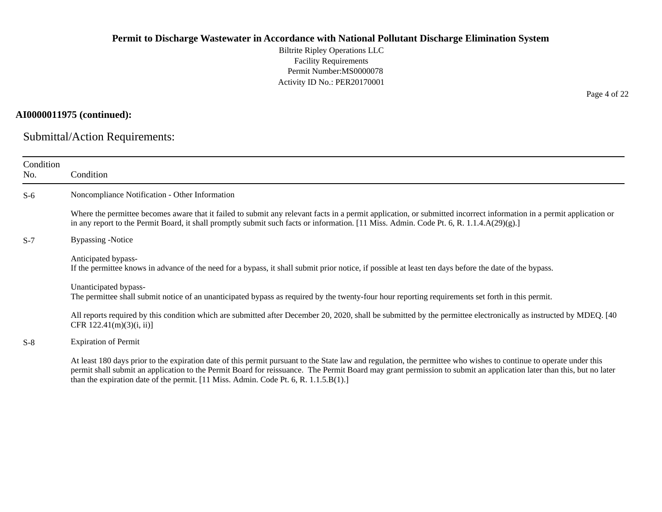Biltrite Ripley Operations LLC Facility Requirements Permit Number:MS0000078 Activity ID No.: PER20170001

## **AI0000011975 (continued):**

Submittal/Action Requirements:

| Condition<br>No. | Condition                                                                                                                                                                                                                                                                                                                                                                                                                            |
|------------------|--------------------------------------------------------------------------------------------------------------------------------------------------------------------------------------------------------------------------------------------------------------------------------------------------------------------------------------------------------------------------------------------------------------------------------------|
| $S-6$            | Noncompliance Notification - Other Information                                                                                                                                                                                                                                                                                                                                                                                       |
|                  | Where the permittee becomes aware that it failed to submit any relevant facts in a permit application, or submitted incorrect information in a permit application or<br>in any report to the Permit Board, it shall promptly submit such facts or information. [11 Miss. Admin. Code Pt. 6, R. 1.1.4.A(29)(g).]                                                                                                                      |
| $S-7$            | <b>Bypassing -Notice</b>                                                                                                                                                                                                                                                                                                                                                                                                             |
|                  | Anticipated bypass-<br>If the permittee knows in advance of the need for a bypass, it shall submit prior notice, if possible at least ten days before the date of the bypass.                                                                                                                                                                                                                                                        |
|                  | Unanticipated bypass-<br>The permittee shall submit notice of an unanticipated bypass as required by the twenty-four hour reporting requirements set forth in this permit.                                                                                                                                                                                                                                                           |
|                  | All reports required by this condition which are submitted after December 20, 2020, shall be submitted by the permittee electronically as instructed by MDEQ. [40]<br>CFR $122.41(m)(3)(i, ii)$                                                                                                                                                                                                                                      |
| $S-8$            | <b>Expiration of Permit</b>                                                                                                                                                                                                                                                                                                                                                                                                          |
|                  | At least 180 days prior to the expiration date of this permit pursuant to the State law and regulation, the permittee who wishes to continue to operate under this<br>permit shall submit an application to the Permit Board for reissuance. The Permit Board may grant permission to submit an application later than this, but no later<br>than the expiration date of the permit. [11 Miss. Admin. Code Pt. 6, R. $1.1.5.B(1).$ ] |

Page 4 of 22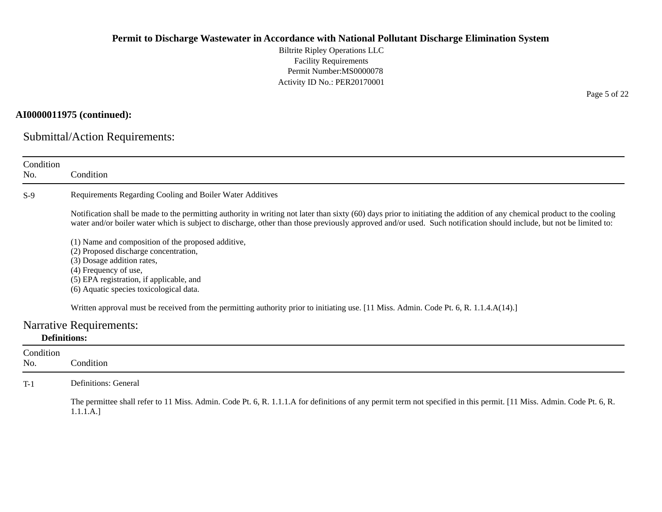Biltrite Ripley Operations LLC Facility Requirements Permit Number:MS0000078 Activity ID No.: PER20170001

## **AI0000011975 (continued):**

Submittal/Action Requirements:

| Condition<br>No.    | Condition                                                                                                                                                                                                                                                                                                                                                                           |
|---------------------|-------------------------------------------------------------------------------------------------------------------------------------------------------------------------------------------------------------------------------------------------------------------------------------------------------------------------------------------------------------------------------------|
| $S-9$               | Requirements Regarding Cooling and Boiler Water Additives                                                                                                                                                                                                                                                                                                                           |
|                     | Notification shall be made to the permitting authority in writing not later than sixty (60) days prior to initiating the addition of any chemical product to the cooling<br>water and/or boiler water which is subject to discharge, other than those previously approved and/or used. Such notification should include, but not be limited to:                                     |
|                     | (1) Name and composition of the proposed additive,<br>(2) Proposed discharge concentration,<br>(3) Dosage addition rates,<br>(4) Frequency of use,<br>(5) EPA registration, if applicable, and<br>(6) Aquatic species toxicological data.<br>Written approval must be received from the permitting authority prior to initiating use. [11 Miss. Admin. Code Pt. 6, R. 1.1.4.A(14).] |
|                     | <b>Narrative Requirements:</b>                                                                                                                                                                                                                                                                                                                                                      |
| <b>Definitions:</b> |                                                                                                                                                                                                                                                                                                                                                                                     |
| Condition<br>No.    | Condition                                                                                                                                                                                                                                                                                                                                                                           |
| $T-1$               | <b>Definitions: General</b>                                                                                                                                                                                                                                                                                                                                                         |
|                     | The permittee shall refer to 11 Miss. Admin. Code Pt. 6, R. 1.1.1.A for definitions of any permit term not specified in this permit. [11 Miss. Admin. Code Pt. 6, R.<br>1.1.1.A.]                                                                                                                                                                                                   |

Page 5 of 22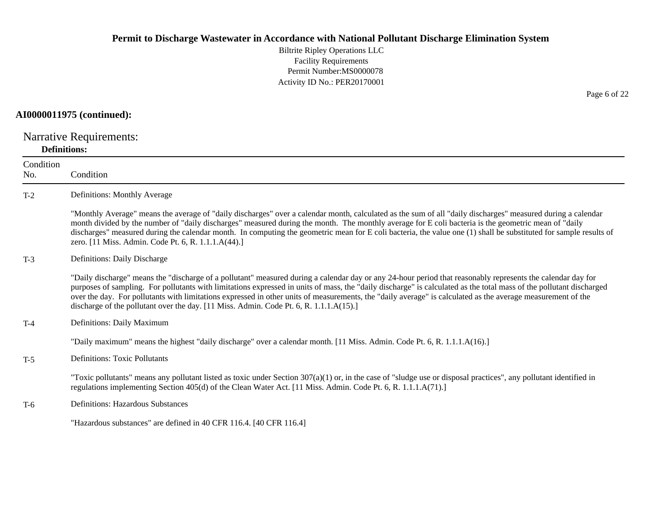Biltrite Ripley Operations LLC Facility Requirements Permit Number:MS0000078 Activity ID No.: PER20170001

#### **AI0000011975 (continued):**

Narrative Requirements: **Definitions:**

**Condition** No. ConditionT-2 Definitions: Monthly Average "Monthly Average" means the average of "daily discharges" over a calendar month, calculated as the sum of all "daily discharges" measured during a calendar month divided by the number of "daily discharges" measured during the month. The monthly average for E coli bacteria is the geometric mean of "daily discharges" measured during the calendar month. In computing the geometric mean for E coli bacteria, the value one (1) shall be substituted for sample results of zero. [11 Miss. Admin. Code Pt. 6, R. 1.1.1.A(44).] T-3 Definitions: Daily Discharge "Daily discharge" means the "discharge of a pollutant" measured during a calendar day or any 24-hour period that reasonably represents the calendar day for purposes of sampling. For pollutants with limitations expressed in units of mass, the "daily discharge" is calculated as the total mass of the pollutant discharged over the day. For pollutants with limitations expressed in other units of measurements, the "daily average" is calculated as the average measurement of the discharge of the pollutant over the day. [11 Miss. Admin. Code Pt. 6, R. 1.1.1.A(15).] T-4 Definitions: Daily Maximum "Daily maximum" means the highest "daily discharge" over a calendar month. [11 Miss. Admin. Code Pt. 6, R. 1.1.1.A(16).] T-5 Definitions: Toxic Pollutants "Toxic pollutants" means any pollutant listed as toxic under Section  $307(a)(1)$  or, in the case of "sludge use or disposal practices", any pollutant identified in regulations implementing Section 405(d) of the Clean Water Act. [11 Miss. Admin. Code Pt. 6, R. 1.1.1.A(71).] T-6 Definitions: Hazardous Substances "Hazardous substances" are defined in 40 CFR 116.4. [40 CFR 116.4]

Page 6 of 22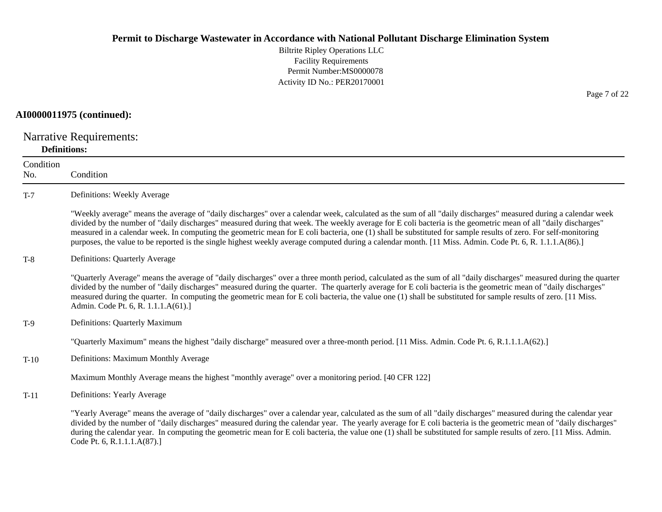Biltrite Ripley Operations LLC Facility Requirements Permit Number:MS0000078 Activity ID No.: PER20170001

#### **AI0000011975 (continued):**

Narrative Requirements: **Definitions:**

**Condition** No. ConditionT-7 Definitions: Weekly Average "Weekly average" means the average of "daily discharges" over a calendar week, calculated as the sum of all "daily discharges" measured during a calendar week divided by the number of "daily discharges" measured during that week. The weekly average for E coli bacteria is the geometric mean of all "daily discharges" measured in a calendar week. In computing the geometric mean for E coli bacteria, one (1) shall be substituted for sample results of zero. For self-monitoring purposes, the value to be reported is the single highest weekly average computed during a calendar month. [11 Miss. Admin. Code Pt. 6, R. 1.1.1.A(86).] T-8 Definitions: Quarterly Average "Quarterly Average" means the average of "daily discharges" over a three month period, calculated as the sum of all "daily discharges" measured during the quarter divided by the number of "daily discharges" measured during the quarter. The quarterly average for E coli bacteria is the geometric mean of "daily discharges" measured during the quarter. In computing the geometric mean for E coli bacteria, the value one (1) shall be substituted for sample results of zero. [11 Miss. Admin. Code Pt. 6, R. 1.1.1.A(61).] T-9 Definitions: Quarterly Maximum "Quarterly Maximum" means the highest "daily discharge" measured over a three-month period. [11 Miss. Admin. Code Pt. 6, R.1.1.1.A(62).] T-10 Definitions: Maximum Monthly Average Maximum Monthly Average means the highest "monthly average" over a monitoring period. [40 CFR 122] T-11 Definitions: Yearly Average "Yearly Average" means the average of "daily discharges" over a calendar year, calculated as the sum of all "daily discharges" measured during the calendar year divided by the number of "daily discharges" measured during the calendar year. The yearly average for E coli bacteria is the geometric mean of "daily discharges" during the calendar year. In computing the geometric mean for E coli bacteria, the value one (1) shall be substituted for sample results of zero. [11 Miss. Admin. Code Pt. 6, R.1.1.1.A(87).]

Page 7 of 22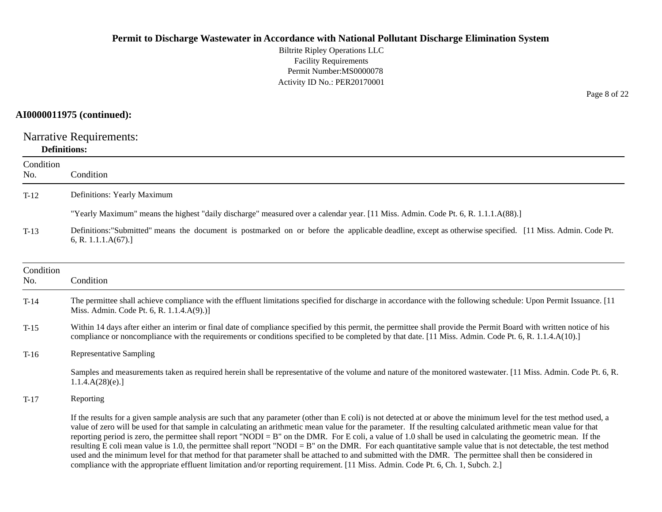Biltrite Ripley Operations LLC Facility Requirements Permit Number:MS0000078 Activity ID No.: PER20170001

### **AI0000011975 (continued):**

Narrative Requirements: **Definitions:**

| Condition<br>No. | Condition                                                                                                                                                                                                                                                                                                                                                                                                                                                                                                                                                                                                                                                                                                                                                                                                                                                                                                                                                                         |
|------------------|-----------------------------------------------------------------------------------------------------------------------------------------------------------------------------------------------------------------------------------------------------------------------------------------------------------------------------------------------------------------------------------------------------------------------------------------------------------------------------------------------------------------------------------------------------------------------------------------------------------------------------------------------------------------------------------------------------------------------------------------------------------------------------------------------------------------------------------------------------------------------------------------------------------------------------------------------------------------------------------|
| $T-12$           | Definitions: Yearly Maximum                                                                                                                                                                                                                                                                                                                                                                                                                                                                                                                                                                                                                                                                                                                                                                                                                                                                                                                                                       |
|                  | "Yearly Maximum" means the highest "daily discharge" measured over a calendar year. [11 Miss. Admin. Code Pt. 6, R. 1.1.1.A(88).]                                                                                                                                                                                                                                                                                                                                                                                                                                                                                                                                                                                                                                                                                                                                                                                                                                                 |
| $T-13$           | Definitions: "Submitted" means the document is postmarked on or before the applicable deadline, except as otherwise specified. [11 Miss. Admin. Code Pt.<br>6, R. 1.1.1. $A(67)$ .]                                                                                                                                                                                                                                                                                                                                                                                                                                                                                                                                                                                                                                                                                                                                                                                               |
| Condition<br>No. | Condition                                                                                                                                                                                                                                                                                                                                                                                                                                                                                                                                                                                                                                                                                                                                                                                                                                                                                                                                                                         |
| $T-14$           | The permittee shall achieve compliance with the effluent limitations specified for discharge in accordance with the following schedule: Upon Permit Issuance. [11]<br>Miss. Admin. Code Pt. 6, R. 1.1.4.A(9).)]                                                                                                                                                                                                                                                                                                                                                                                                                                                                                                                                                                                                                                                                                                                                                                   |
| $T-15$           | Within 14 days after either an interim or final date of compliance specified by this permit, the permittee shall provide the Permit Board with written notice of his<br>compliance or noncompliance with the requirements or conditions specified to be completed by that date. [11 Miss. Admin. Code Pt. 6, R. 1.1.4.A(10).]                                                                                                                                                                                                                                                                                                                                                                                                                                                                                                                                                                                                                                                     |
| $T-16$           | <b>Representative Sampling</b>                                                                                                                                                                                                                                                                                                                                                                                                                                                                                                                                                                                                                                                                                                                                                                                                                                                                                                                                                    |
|                  | Samples and measurements taken as required herein shall be representative of the volume and nature of the monitored wastewater. [11 Miss. Admin. Code Pt. 6, R.<br>1.1.4.A(28)(e).                                                                                                                                                                                                                                                                                                                                                                                                                                                                                                                                                                                                                                                                                                                                                                                                |
| $T-17$           | Reporting                                                                                                                                                                                                                                                                                                                                                                                                                                                                                                                                                                                                                                                                                                                                                                                                                                                                                                                                                                         |
|                  | If the results for a given sample analysis are such that any parameter (other than E coli) is not detected at or above the minimum level for the test method used, a<br>value of zero will be used for that sample in calculating an arithmetic mean value for the parameter. If the resulting calculated arithmetic mean value for that<br>reporting period is zero, the permittee shall report "NODI = $B$ " on the DMR. For E coli, a value of 1.0 shall be used in calculating the geometric mean. If the<br>resulting E coli mean value is 1.0, the permittee shall report "NODI = B" on the DMR. For each quantitative sample value that is not detectable, the test method<br>used and the minimum level for that method for that parameter shall be attached to and submitted with the DMR. The permittee shall then be considered in<br>compliance with the appropriate effluent limitation and/or reporting requirement. [11 Miss. Admin. Code Pt. 6, Ch. 1, Subch. 2.] |

Page 8 of 22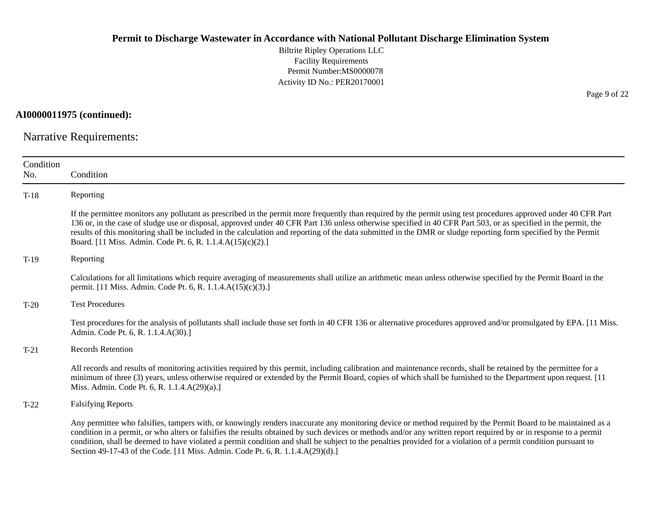Biltrite Ripley Operations LLC Facility Requirements Permit Number:MS0000078 Activity ID No.: PER20170001

**AI0000011975 (continued):**

Narrative Requirements:

| Condition<br>No. | Condition                                                                                                                                                                                                                                                                                                                                                                                                                                                                                                                                                                                |
|------------------|------------------------------------------------------------------------------------------------------------------------------------------------------------------------------------------------------------------------------------------------------------------------------------------------------------------------------------------------------------------------------------------------------------------------------------------------------------------------------------------------------------------------------------------------------------------------------------------|
| $T-18$           | Reporting                                                                                                                                                                                                                                                                                                                                                                                                                                                                                                                                                                                |
|                  | If the permittee monitors any pollutant as prescribed in the permit more frequently than required by the permit using test procedures approved under 40 CFR Part<br>136 or, in the case of sludge use or disposal, approved under 40 CFR Part 136 unless otherwise specified in 40 CFR Part 503, or as specified in the permit, the<br>results of this monitoring shall be included in the calculation and reporting of the data submitted in the DMR or sludge reporting form specified by the Permit<br>Board. [11 Miss. Admin. Code Pt. 6, R. 1.1.4.A(15)(c)(2).]                     |
| $T-19$           | Reporting                                                                                                                                                                                                                                                                                                                                                                                                                                                                                                                                                                                |
|                  | Calculations for all limitations which require averaging of measurements shall utilize an arithmetic mean unless otherwise specified by the Permit Board in the<br>permit. [11 Miss. Admin. Code Pt. 6, R. 1.1.4.A(15)(c)(3).]                                                                                                                                                                                                                                                                                                                                                           |
| $T-20$           | <b>Test Procedures</b>                                                                                                                                                                                                                                                                                                                                                                                                                                                                                                                                                                   |
|                  | Test procedures for the analysis of pollutants shall include those set forth in 40 CFR 136 or alternative procedures approved and/or promulgated by EPA. [11 Miss.]<br>Admin. Code Pt. 6, R. 1.1.4.A(30).]                                                                                                                                                                                                                                                                                                                                                                               |
| $T-21$           | <b>Records Retention</b>                                                                                                                                                                                                                                                                                                                                                                                                                                                                                                                                                                 |
|                  | All records and results of monitoring activities required by this permit, including calibration and maintenance records, shall be retained by the permittee for a<br>minimum of three (3) years, unless otherwise required or extended by the Permit Board, copies of which shall be furnished to the Department upon request. [11]<br>Miss. Admin. Code Pt. 6, R. 1.1.4.A(29)(a).]                                                                                                                                                                                                      |
| $T-22$           | <b>Falsifying Reports</b>                                                                                                                                                                                                                                                                                                                                                                                                                                                                                                                                                                |
|                  | Any permittee who falsifies, tampers with, or knowingly renders inaccurate any monitoring device or method required by the Permit Board to be maintained as a<br>condition in a permit, or who alters or falsifies the results obtained by such devices or methods and/or any written report required by or in response to a permit<br>condition, shall be deemed to have violated a permit condition and shall be subject to the penalties provided for a violation of a permit condition pursuant to<br>Section 49-17-43 of the Code. [11 Miss. Admin. Code Pt. 6, R. 1.1.4.A(29)(d).] |

Page 9 of 22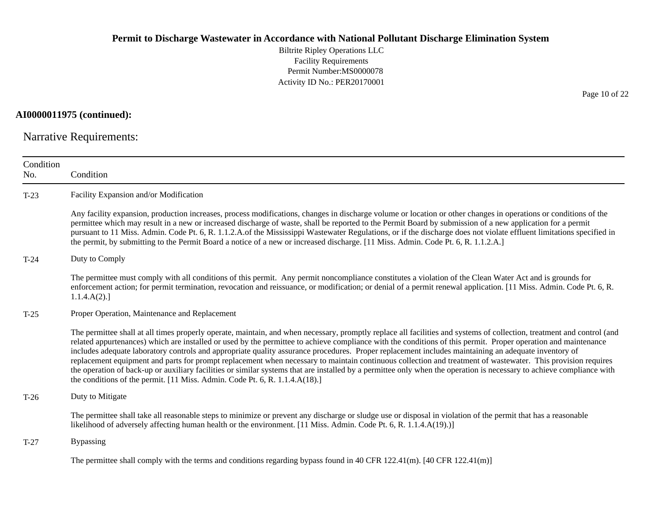Biltrite Ripley Operations LLC Facility Requirements Permit Number:MS0000078 Activity ID No.: PER20170001

**AI0000011975 (continued):**

Narrative Requirements:

| Condition<br>No. | Condition                                                                                                                                                                                                                                                                                                                                                                                                                                                                                                                                                                                                                                                                                                                                                                                                                                                                                                                |
|------------------|--------------------------------------------------------------------------------------------------------------------------------------------------------------------------------------------------------------------------------------------------------------------------------------------------------------------------------------------------------------------------------------------------------------------------------------------------------------------------------------------------------------------------------------------------------------------------------------------------------------------------------------------------------------------------------------------------------------------------------------------------------------------------------------------------------------------------------------------------------------------------------------------------------------------------|
| $T-23$           | Facility Expansion and/or Modification                                                                                                                                                                                                                                                                                                                                                                                                                                                                                                                                                                                                                                                                                                                                                                                                                                                                                   |
|                  | Any facility expansion, production increases, process modifications, changes in discharge volume or location or other changes in operations or conditions of the<br>permittee which may result in a new or increased discharge of waste, shall be reported to the Permit Board by submission of a new application for a permit<br>pursuant to 11 Miss. Admin. Code Pt. 6, R. 1.1.2.A.of the Mississippi Wastewater Regulations, or if the discharge does not violate effluent limitations specified in<br>the permit, by submitting to the Permit Board a notice of a new or increased discharge. [11 Miss. Admin. Code Pt. 6, R. 1.1.2.A.]                                                                                                                                                                                                                                                                              |
| $T-24$           | Duty to Comply                                                                                                                                                                                                                                                                                                                                                                                                                                                                                                                                                                                                                                                                                                                                                                                                                                                                                                           |
|                  | The permittee must comply with all conditions of this permit. Any permit noncompliance constitutes a violation of the Clean Water Act and is grounds for<br>enforcement action; for permit termination, revocation and reissuance, or modification; or denial of a permit renewal application. [11 Miss. Admin. Code Pt. 6, R.<br>1.1.4.A(2).                                                                                                                                                                                                                                                                                                                                                                                                                                                                                                                                                                            |
| $T-25$           | Proper Operation, Maintenance and Replacement                                                                                                                                                                                                                                                                                                                                                                                                                                                                                                                                                                                                                                                                                                                                                                                                                                                                            |
|                  | The permittee shall at all times properly operate, maintain, and when necessary, promptly replace all facilities and systems of collection, treatment and control (and<br>related appurtenances) which are installed or used by the permittee to achieve compliance with the conditions of this permit. Proper operation and maintenance<br>includes adequate laboratory controls and appropriate quality assurance procedures. Proper replacement includes maintaining an adequate inventory of<br>replacement equipment and parts for prompt replacement when necessary to maintain continuous collection and treatment of wastewater. This provision requires<br>the operation of back-up or auxiliary facilities or similar systems that are installed by a permittee only when the operation is necessary to achieve compliance with<br>the conditions of the permit. [11 Miss. Admin. Code Pt. 6, R. 1.1.4.A(18).] |
| $T-26$           | Duty to Mitigate                                                                                                                                                                                                                                                                                                                                                                                                                                                                                                                                                                                                                                                                                                                                                                                                                                                                                                         |
|                  | The permittee shall take all reasonable steps to minimize or prevent any discharge or sludge use or disposal in violation of the permit that has a reasonable<br>likelihood of adversely affecting human health or the environment. [11 Miss. Admin. Code Pt. 6, R. 1.1.4.A(19).)]                                                                                                                                                                                                                                                                                                                                                                                                                                                                                                                                                                                                                                       |
| $T-27$           | <b>Bypassing</b>                                                                                                                                                                                                                                                                                                                                                                                                                                                                                                                                                                                                                                                                                                                                                                                                                                                                                                         |
|                  | The permittee shall comply with the terms and conditions regarding bypass found in 40 CFR 122.41(m). [40 CFR 122.41(m)]                                                                                                                                                                                                                                                                                                                                                                                                                                                                                                                                                                                                                                                                                                                                                                                                  |

Page 10 of 22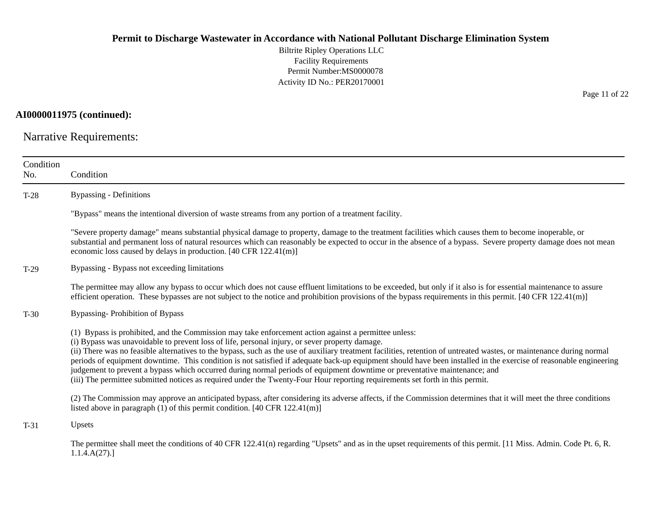Biltrite Ripley Operations LLC Facility Requirements Permit Number:MS0000078 Activity ID No.: PER20170001

**AI0000011975 (continued):**

Narrative Requirements:

| Condition<br>No. | Condition                                                                                                                                                                                                                                                                                                                                                                                                                                                                                                                                                                                                                                                                                                                                                                                                          |
|------------------|--------------------------------------------------------------------------------------------------------------------------------------------------------------------------------------------------------------------------------------------------------------------------------------------------------------------------------------------------------------------------------------------------------------------------------------------------------------------------------------------------------------------------------------------------------------------------------------------------------------------------------------------------------------------------------------------------------------------------------------------------------------------------------------------------------------------|
| $T-28$           | <b>Bypassing - Definitions</b>                                                                                                                                                                                                                                                                                                                                                                                                                                                                                                                                                                                                                                                                                                                                                                                     |
|                  | "Bypass" means the intentional diversion of waste streams from any portion of a treatment facility.                                                                                                                                                                                                                                                                                                                                                                                                                                                                                                                                                                                                                                                                                                                |
|                  | "Severe property damage" means substantial physical damage to property, damage to the treatment facilities which causes them to become inoperable, or<br>substantial and permanent loss of natural resources which can reasonably be expected to occur in the absence of a bypass. Severe property damage does not mean<br>economic loss caused by delays in production. [40 CFR 122.41(m)]                                                                                                                                                                                                                                                                                                                                                                                                                        |
| $T-29$           | Bypassing - Bypass not exceeding limitations                                                                                                                                                                                                                                                                                                                                                                                                                                                                                                                                                                                                                                                                                                                                                                       |
|                  | The permittee may allow any bypass to occur which does not cause effluent limitations to be exceeded, but only if it also is for essential maintenance to assure<br>efficient operation. These bypasses are not subject to the notice and prohibition provisions of the bypass requirements in this permit. $[40 \text{ CFR } 122.41 \text{ (m)}]$                                                                                                                                                                                                                                                                                                                                                                                                                                                                 |
| $T-30$           | <b>Bypassing-Prohibition of Bypass</b>                                                                                                                                                                                                                                                                                                                                                                                                                                                                                                                                                                                                                                                                                                                                                                             |
|                  | (1) Bypass is prohibited, and the Commission may take enforcement action against a permittee unless:<br>(i) Bypass was unavoidable to prevent loss of life, personal injury, or sever property damage.<br>(ii) There was no feasible alternatives to the bypass, such as the use of auxiliary treatment facilities, retention of untreated wastes, or maintenance during normal<br>periods of equipment downtime. This condition is not satisfied if adequate back-up equipment should have been installed in the exercise of reasonable engineering<br>judgement to prevent a bypass which occurred during normal periods of equipment downtime or preventative maintenance; and<br>(iii) The permittee submitted notices as required under the Twenty-Four Hour reporting requirements set forth in this permit. |
|                  | (2) The Commission may approve an anticipated bypass, after considering its adverse affects, if the Commission determines that it will meet the three conditions<br>listed above in paragraph $(1)$ of this permit condition. [40 CFR 122.41(m)]                                                                                                                                                                                                                                                                                                                                                                                                                                                                                                                                                                   |
| $T-31$           | Upsets                                                                                                                                                                                                                                                                                                                                                                                                                                                                                                                                                                                                                                                                                                                                                                                                             |
|                  | The permittee shall meet the conditions of 40 CFR 122.41(n) regarding "Upsets" and as in the upset requirements of this permit. [11 Miss. Admin. Code Pt. 6, R.<br>1.1.4.A(27).                                                                                                                                                                                                                                                                                                                                                                                                                                                                                                                                                                                                                                    |

Page 11 of 22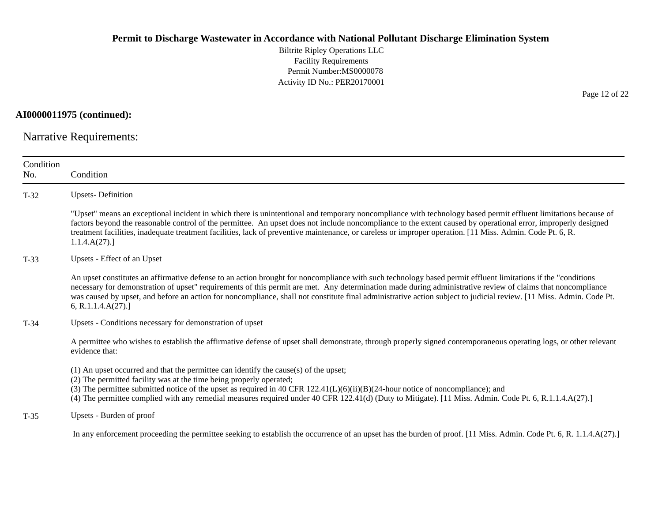Biltrite Ripley Operations LLC Facility Requirements Permit Number:MS0000078 Activity ID No.: PER20170001

**AI0000011975 (continued):**

Narrative Requirements:

| Condition<br>No. | Condition                                                                                                                                                                                                                                                                                                                                                                                                                                                                                                                |
|------------------|--------------------------------------------------------------------------------------------------------------------------------------------------------------------------------------------------------------------------------------------------------------------------------------------------------------------------------------------------------------------------------------------------------------------------------------------------------------------------------------------------------------------------|
| $T-32$           | <b>Upsets-Definition</b>                                                                                                                                                                                                                                                                                                                                                                                                                                                                                                 |
|                  | "Upset" means an exceptional incident in which there is unintentional and temporary noncompliance with technology based permit effluent limitations because of<br>factors beyond the reasonable control of the permittee. An upset does not include noncompliance to the extent caused by operational error, improperly designed<br>treatment facilities, inadequate treatment facilities, lack of preventive maintenance, or careless or improper operation. [11 Miss. Admin. Code Pt. 6, R.<br>1.1.4.A(27).            |
| $T-33$           | Upsets - Effect of an Upset                                                                                                                                                                                                                                                                                                                                                                                                                                                                                              |
|                  | An upset constitutes an affirmative defense to an action brought for noncompliance with such technology based permit effluent limitations if the "conditions"<br>necessary for demonstration of upset" requirements of this permit are met. Any determination made during administrative review of claims that noncompliance<br>was caused by upset, and before an action for noncompliance, shall not constitute final administrative action subject to judicial review. [11 Miss. Admin. Code Pt.<br>6, R.1.1.4.A(27). |
| $T-34$           | Upsets - Conditions necessary for demonstration of upset                                                                                                                                                                                                                                                                                                                                                                                                                                                                 |
|                  | A permittee who wishes to establish the affirmative defense of upset shall demonstrate, through properly signed contemporaneous operating logs, or other relevant<br>evidence that:                                                                                                                                                                                                                                                                                                                                      |
|                  | $(1)$ An upset occurred and that the permittee can identify the cause(s) of the upset;<br>(2) The permitted facility was at the time being properly operated;<br>(3) The permittee submitted notice of the upset as required in 40 CFR $122.41(L)(6)(ii)(B)(24-hour notice of noncompliance)$ ; and<br>(4) The permittee complied with any remedial measures required under 40 CFR 122.41(d) (Duty to Mitigate). [11 Miss. Admin. Code Pt. 6, R.1.1.4.A(27).]                                                            |
| $T-35$           | Upsets - Burden of proof                                                                                                                                                                                                                                                                                                                                                                                                                                                                                                 |
|                  | In any enforcement proceeding the permittee seeking to establish the occurrence of an upset has the burden of proof. [11 Miss. Admin. Code Pt. 6, R. 1.1.4.A(27).]                                                                                                                                                                                                                                                                                                                                                       |

Page 12 of 22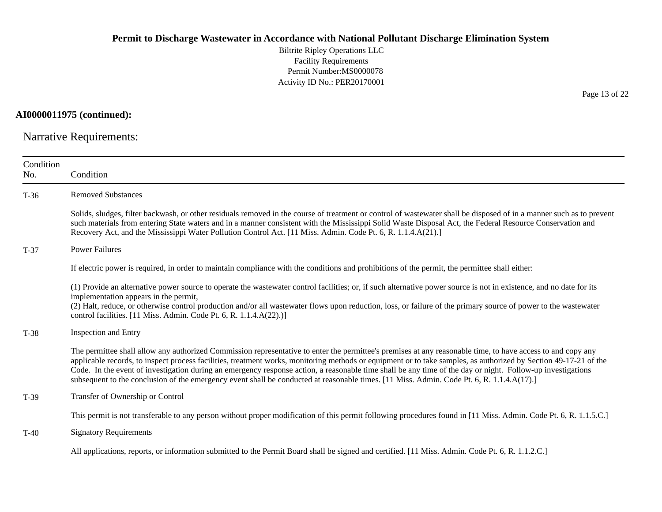Biltrite Ripley Operations LLC Facility Requirements Permit Number:MS0000078 Activity ID No.: PER20170001

**AI0000011975 (continued):**

Narrative Requirements:

| Condition<br>No. | Condition                                                                                                                                                                                                                                                                                                                                                                                                                                                                                                                                                                                                                                  |
|------------------|--------------------------------------------------------------------------------------------------------------------------------------------------------------------------------------------------------------------------------------------------------------------------------------------------------------------------------------------------------------------------------------------------------------------------------------------------------------------------------------------------------------------------------------------------------------------------------------------------------------------------------------------|
| $T-36$           | <b>Removed Substances</b>                                                                                                                                                                                                                                                                                                                                                                                                                                                                                                                                                                                                                  |
|                  | Solids, sludges, filter backwash, or other residuals removed in the course of treatment or control of wastewater shall be disposed of in a manner such as to prevent<br>such materials from entering State waters and in a manner consistent with the Mississippi Solid Waste Disposal Act, the Federal Resource Conservation and<br>Recovery Act, and the Mississippi Water Pollution Control Act. [11 Miss. Admin. Code Pt. 6, R. 1.1.4.A(21).]                                                                                                                                                                                          |
| $T-37$           | <b>Power Failures</b>                                                                                                                                                                                                                                                                                                                                                                                                                                                                                                                                                                                                                      |
|                  | If electric power is required, in order to maintain compliance with the conditions and prohibitions of the permit, the permittee shall either:                                                                                                                                                                                                                                                                                                                                                                                                                                                                                             |
|                  | (1) Provide an alternative power source to operate the wastewater control facilities; or, if such alternative power source is not in existence, and no date for its<br>implementation appears in the permit,<br>(2) Halt, reduce, or otherwise control production and/or all wastewater flows upon reduction, loss, or failure of the primary source of power to the wastewater<br>control facilities. [11 Miss. Admin. Code Pt. 6, R. 1.1.4.A(22).)]                                                                                                                                                                                      |
| $T-38$           | Inspection and Entry                                                                                                                                                                                                                                                                                                                                                                                                                                                                                                                                                                                                                       |
|                  | The permittee shall allow any authorized Commission representative to enter the permittee's premises at any reasonable time, to have access to and copy any<br>applicable records, to inspect process facilities, treatment works, monitoring methods or equipment or to take samples, as authorized by Section 49-17-21 of the<br>Code. In the event of investigation during an emergency response action, a reasonable time shall be any time of the day or night. Follow-up investigations<br>subsequent to the conclusion of the emergency event shall be conducted at reasonable times. [11 Miss. Admin. Code Pt. 6, R. 1.1.4.A(17).] |
| $T-39$           | Transfer of Ownership or Control                                                                                                                                                                                                                                                                                                                                                                                                                                                                                                                                                                                                           |
|                  | This permit is not transferable to any person without proper modification of this permit following procedures found in [11 Miss. Admin. Code Pt. 6, R. 1.1.5.C.]                                                                                                                                                                                                                                                                                                                                                                                                                                                                           |
| $T-40$           | <b>Signatory Requirements</b>                                                                                                                                                                                                                                                                                                                                                                                                                                                                                                                                                                                                              |
|                  | All applications, reports, or information submitted to the Permit Board shall be signed and certified. [11 Miss. Admin. Code Pt. 6, R. 1.1.2.C.]                                                                                                                                                                                                                                                                                                                                                                                                                                                                                           |

Page 13 of 22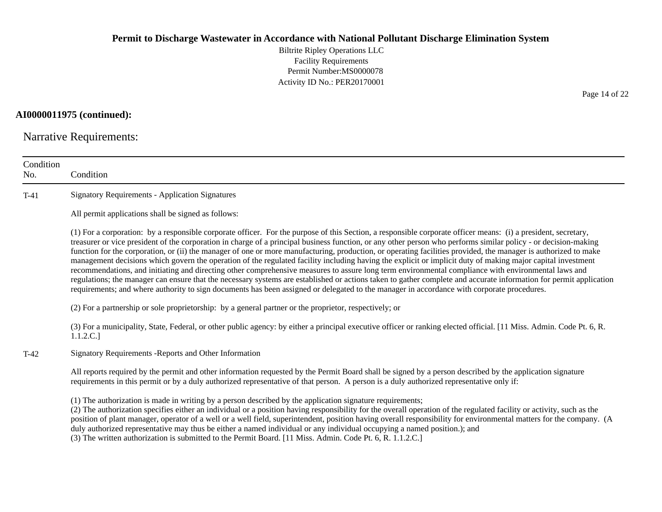Biltrite Ripley Operations LLC Facility Requirements Permit Number:MS0000078 Activity ID No.: PER20170001

**AI0000011975 (continued):**

Narrative Requirements:

| Condition<br>No. | Condition                                                                                                                                                                                                                                                                                                                                                                                                                                                                                                                                                                                                                                                                                                                                                                                                                                                                                                                                                                                                                                                                                                                                      |
|------------------|------------------------------------------------------------------------------------------------------------------------------------------------------------------------------------------------------------------------------------------------------------------------------------------------------------------------------------------------------------------------------------------------------------------------------------------------------------------------------------------------------------------------------------------------------------------------------------------------------------------------------------------------------------------------------------------------------------------------------------------------------------------------------------------------------------------------------------------------------------------------------------------------------------------------------------------------------------------------------------------------------------------------------------------------------------------------------------------------------------------------------------------------|
| $T-41$           | <b>Signatory Requirements - Application Signatures</b>                                                                                                                                                                                                                                                                                                                                                                                                                                                                                                                                                                                                                                                                                                                                                                                                                                                                                                                                                                                                                                                                                         |
|                  | All permit applications shall be signed as follows:                                                                                                                                                                                                                                                                                                                                                                                                                                                                                                                                                                                                                                                                                                                                                                                                                                                                                                                                                                                                                                                                                            |
|                  | (1) For a corporation: by a responsible corporate officer. For the purpose of this Section, a responsible corporate officer means: (i) a president, secretary,<br>treasurer or vice president of the corporation in charge of a principal business function, or any other person who performs similar policy - or decision-making<br>function for the corporation, or (ii) the manager of one or more manufacturing, production, or operating facilities provided, the manager is authorized to make<br>management decisions which govern the operation of the regulated facility including having the explicit or implicit duty of making major capital investment<br>recommendations, and initiating and directing other comprehensive measures to assure long term environmental compliance with environmental laws and<br>regulations; the manager can ensure that the necessary systems are established or actions taken to gather complete and accurate information for permit application<br>requirements; and where authority to sign documents has been assigned or delegated to the manager in accordance with corporate procedures. |
|                  | (2) For a partnership or sole proprietorship: by a general partner or the proprietor, respectively; or                                                                                                                                                                                                                                                                                                                                                                                                                                                                                                                                                                                                                                                                                                                                                                                                                                                                                                                                                                                                                                         |
|                  | (3) For a municipality, State, Federal, or other public agency: by either a principal executive officer or ranking elected official. [11 Miss. Admin. Code Pt. 6, R.<br>1.1.2.C.]                                                                                                                                                                                                                                                                                                                                                                                                                                                                                                                                                                                                                                                                                                                                                                                                                                                                                                                                                              |
| $T-42$           | Signatory Requirements - Reports and Other Information                                                                                                                                                                                                                                                                                                                                                                                                                                                                                                                                                                                                                                                                                                                                                                                                                                                                                                                                                                                                                                                                                         |
|                  | All reports required by the permit and other information requested by the Permit Board shall be signed by a person described by the application signature<br>requirements in this permit or by a duly authorized representative of that person. A person is a duly authorized representative only if:                                                                                                                                                                                                                                                                                                                                                                                                                                                                                                                                                                                                                                                                                                                                                                                                                                          |
|                  | (1) The authorization is made in writing by a person described by the application signature requirements;<br>(2) The authorization specifies either an individual or a position having responsibility for the overall operation of the regulated facility or activity, such as the<br>position of plant manager, operator of a well or a well field, superintendent, position having overall responsibility for environmental matters for the company. (A<br>duly authorized representative may thus be either a named individual or any individual occupying a named position.); and<br>(3) The written authorization is submitted to the Permit Board. [11 Miss. Admin. Code Pt. 6, R. 1.1.2.C.]                                                                                                                                                                                                                                                                                                                                                                                                                                             |

Page 14 of 22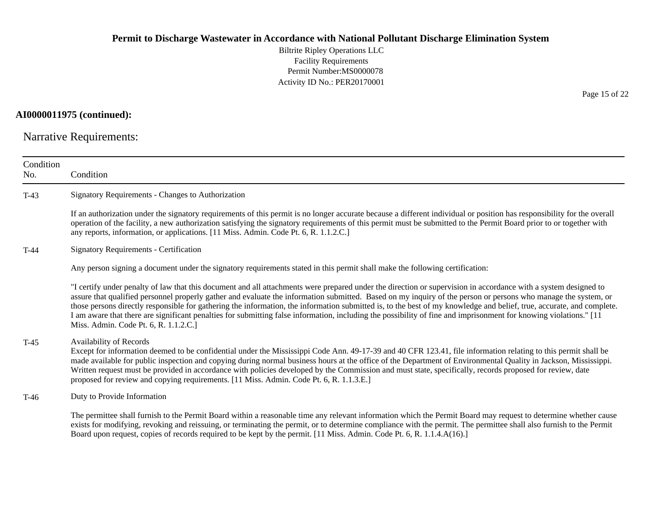Biltrite Ripley Operations LLC Facility Requirements Permit Number:MS0000078 Activity ID No.: PER20170001

# **AI0000011975 (continued):**

Narrative Requirements:

| Condition<br>No. | Condition                                                                                                                                                                                                                                                                                                                                                                                                                                                                                                                                                                                                                                                                                                                |
|------------------|--------------------------------------------------------------------------------------------------------------------------------------------------------------------------------------------------------------------------------------------------------------------------------------------------------------------------------------------------------------------------------------------------------------------------------------------------------------------------------------------------------------------------------------------------------------------------------------------------------------------------------------------------------------------------------------------------------------------------|
| $T-43$           | Signatory Requirements - Changes to Authorization                                                                                                                                                                                                                                                                                                                                                                                                                                                                                                                                                                                                                                                                        |
|                  | If an authorization under the signatory requirements of this permit is no longer accurate because a different individual or position has responsibility for the overall<br>operation of the facility, a new authorization satisfying the signatory requirements of this permit must be submitted to the Permit Board prior to or together with<br>any reports, information, or applications. [11 Miss. Admin. Code Pt. 6, R. 1.1.2.C.]                                                                                                                                                                                                                                                                                   |
| $T-44$           | Signatory Requirements - Certification                                                                                                                                                                                                                                                                                                                                                                                                                                                                                                                                                                                                                                                                                   |
|                  | Any person signing a document under the signatory requirements stated in this permit shall make the following certification:                                                                                                                                                                                                                                                                                                                                                                                                                                                                                                                                                                                             |
|                  | "I certify under penalty of law that this document and all attachments were prepared under the direction or supervision in accordance with a system designed to<br>assure that qualified personnel properly gather and evaluate the information submitted. Based on my inquiry of the person or persons who manage the system, or<br>those persons directly responsible for gathering the information, the information submitted is, to the best of my knowledge and belief, true, accurate, and complete.<br>I am aware that there are significant penalties for submitting false information, including the possibility of fine and imprisonment for knowing violations." [11<br>Miss. Admin. Code Pt. 6, R. 1.1.2.C.] |
| $T-45$           | Availability of Records<br>Except for information deemed to be confidential under the Mississippi Code Ann. 49-17-39 and 40 CFR 123.41, file information relating to this permit shall be<br>made available for public inspection and copying during normal business hours at the office of the Department of Environmental Quality in Jackson, Mississippi.<br>Written request must be provided in accordance with policies developed by the Commission and must state, specifically, records proposed for review, date<br>proposed for review and copying requirements. [11 Miss. Admin. Code Pt. 6, R. 1.1.3.E.]                                                                                                      |
| $T-46$           | Duty to Provide Information                                                                                                                                                                                                                                                                                                                                                                                                                                                                                                                                                                                                                                                                                              |
|                  | The permittee shall furnish to the Permit Board within a reasonable time any relevant information which the Permit Board may request to determine whether cause<br>exists for modifying, revoking and reissuing, or terminating the permit, or to determine compliance with the permit. The permittee shall also furnish to the Permit<br>Board upon request, copies of records required to be kept by the permit. [11 Miss. Admin. Code Pt. 6, R. 1.1.4.A(16).]                                                                                                                                                                                                                                                         |

Page 15 of 22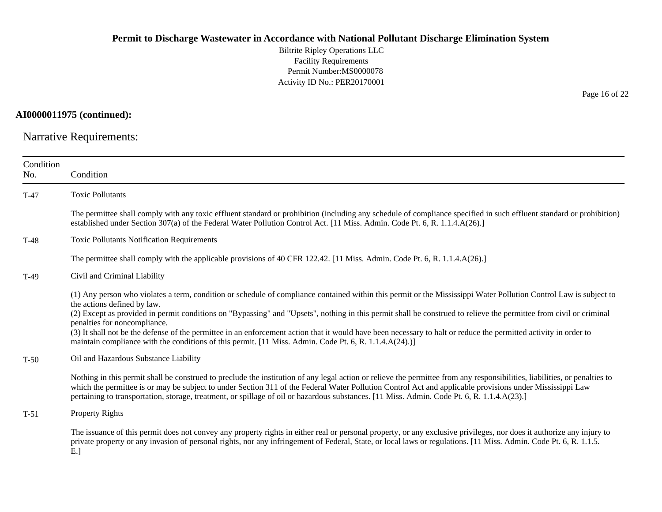Biltrite Ripley Operations LLC Facility Requirements Permit Number:MS0000078 Activity ID No.: PER20170001

**AI0000011975 (continued):**

Narrative Requirements:

| Condition<br>No. | Condition                                                                                                                                                                                                                                                                                                                                                                                                                                                                                                                                                                                                                                                                                |
|------------------|------------------------------------------------------------------------------------------------------------------------------------------------------------------------------------------------------------------------------------------------------------------------------------------------------------------------------------------------------------------------------------------------------------------------------------------------------------------------------------------------------------------------------------------------------------------------------------------------------------------------------------------------------------------------------------------|
| $T-47$           | <b>Toxic Pollutants</b>                                                                                                                                                                                                                                                                                                                                                                                                                                                                                                                                                                                                                                                                  |
|                  | The permittee shall comply with any toxic effluent standard or prohibition (including any schedule of compliance specified in such effluent standard or prohibition)<br>established under Section 307(a) of the Federal Water Pollution Control Act. [11 Miss. Admin. Code Pt. 6, R. 1.1.4.A(26).]                                                                                                                                                                                                                                                                                                                                                                                       |
| $T-48$           | <b>Toxic Pollutants Notification Requirements</b>                                                                                                                                                                                                                                                                                                                                                                                                                                                                                                                                                                                                                                        |
|                  | The permittee shall comply with the applicable provisions of 40 CFR 122.42. [11 Miss. Admin. Code Pt. 6, R. 1.1.4.A(26).]                                                                                                                                                                                                                                                                                                                                                                                                                                                                                                                                                                |
| $T-49$           | Civil and Criminal Liability                                                                                                                                                                                                                                                                                                                                                                                                                                                                                                                                                                                                                                                             |
|                  | (1) Any person who violates a term, condition or schedule of compliance contained within this permit or the Mississippi Water Pollution Control Law is subject to<br>the actions defined by law.<br>(2) Except as provided in permit conditions on "Bypassing" and "Upsets", nothing in this permit shall be construed to relieve the permittee from civil or criminal<br>penalties for noncompliance.<br>(3) It shall not be the defense of the permittee in an enforcement action that it would have been necessary to halt or reduce the permitted activity in order to<br>maintain compliance with the conditions of this permit. [11 Miss. Admin. Code Pt. 6, R. 1.1.4. $A(24)$ .)] |
| $T-50$           | Oil and Hazardous Substance Liability                                                                                                                                                                                                                                                                                                                                                                                                                                                                                                                                                                                                                                                    |
|                  | Nothing in this permit shall be construed to preclude the institution of any legal action or relieve the permittee from any responsibilities, liabilities, or penalties to<br>which the permittee is or may be subject to under Section 311 of the Federal Water Pollution Control Act and applicable provisions under Mississippi Law<br>pertaining to transportation, storage, treatment, or spillage of oil or hazardous substances. [11 Miss. Admin. Code Pt. 6, R. 1.1.4.A(23).]                                                                                                                                                                                                    |
| $T-51$           | <b>Property Rights</b>                                                                                                                                                                                                                                                                                                                                                                                                                                                                                                                                                                                                                                                                   |
|                  | The issuance of this permit does not convey any property rights in either real or personal property, or any exclusive privileges, nor does it authorize any injury to<br>private property or any invasion of personal rights, nor any infringement of Federal, State, or local laws or regulations. [11 Miss. Admin. Code Pt. 6, R. 1.1.5.<br>E.                                                                                                                                                                                                                                                                                                                                         |

Page 16 of 22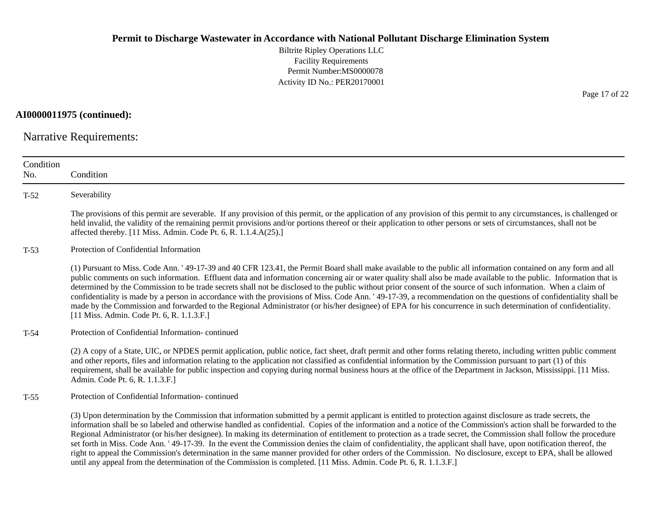Biltrite Ripley Operations LLC Facility Requirements Permit Number:MS0000078 Activity ID No.: PER20170001

**AI0000011975 (continued):**

Narrative Requirements:

| Condition<br>No. | Condition                                                                                                                                                                                                                                                                                                                                                                                                                                                                                                                                                                                                                                                                                                                                                                                                                                                                                                                                                            |
|------------------|----------------------------------------------------------------------------------------------------------------------------------------------------------------------------------------------------------------------------------------------------------------------------------------------------------------------------------------------------------------------------------------------------------------------------------------------------------------------------------------------------------------------------------------------------------------------------------------------------------------------------------------------------------------------------------------------------------------------------------------------------------------------------------------------------------------------------------------------------------------------------------------------------------------------------------------------------------------------|
| $T-52$           | Severability                                                                                                                                                                                                                                                                                                                                                                                                                                                                                                                                                                                                                                                                                                                                                                                                                                                                                                                                                         |
|                  | The provisions of this permit are severable. If any provision of this permit, or the application of any provision of this permit to any circumstances, is challenged or<br>held invalid, the validity of the remaining permit provisions and/or portions thereof or their application to other persons or sets of circumstances, shall not be<br>affected thereby. [11 Miss. Admin. Code Pt. 6, R. 1.1.4.A(25).]                                                                                                                                                                                                                                                                                                                                                                                                                                                                                                                                                     |
| $T-53$           | Protection of Confidential Information                                                                                                                                                                                                                                                                                                                                                                                                                                                                                                                                                                                                                                                                                                                                                                                                                                                                                                                               |
|                  | (1) Pursuant to Miss. Code Ann. '49-17-39 and 40 CFR 123.41, the Permit Board shall make available to the public all information contained on any form and all<br>public comments on such information. Effluent data and information concerning air or water quality shall also be made available to the public. Information that is<br>determined by the Commission to be trade secrets shall not be disclosed to the public without prior consent of the source of such information. When a claim of<br>confidentiality is made by a person in accordance with the provisions of Miss. Code Ann. '49-17-39, a recommendation on the questions of confidentiality shall be<br>made by the Commission and forwarded to the Regional Administrator (or his/her designee) of EPA for his concurrence in such determination of confidentiality.<br>[11 Miss. Admin. Code Pt. 6, R. 1.1.3.F.]                                                                            |
| $T-54$           | Protection of Confidential Information-continued                                                                                                                                                                                                                                                                                                                                                                                                                                                                                                                                                                                                                                                                                                                                                                                                                                                                                                                     |
|                  | (2) A copy of a State, UIC, or NPDES permit application, public notice, fact sheet, draft permit and other forms relating thereto, including written public comment<br>and other reports, files and information relating to the application not classified as confidential information by the Commission pursuant to part (1) of this<br>requirement, shall be available for public inspection and copying during normal business hours at the office of the Department in Jackson, Mississippi. [11 Miss.<br>Admin. Code Pt. 6, R. 1.1.3.F.]                                                                                                                                                                                                                                                                                                                                                                                                                        |
| $T-55$           | Protection of Confidential Information-continued                                                                                                                                                                                                                                                                                                                                                                                                                                                                                                                                                                                                                                                                                                                                                                                                                                                                                                                     |
|                  | (3) Upon determination by the Commission that information submitted by a permit applicant is entitled to protection against disclosure as trade secrets, the<br>information shall be so labeled and otherwise handled as confidential. Copies of the information and a notice of the Commission's action shall be forwarded to the<br>Regional Administrator (or his/her designee). In making its determination of entitlement to protection as a trade secret, the Commission shall follow the procedure<br>set forth in Miss. Code Ann. '49-17-39. In the event the Commission denies the claim of confidentiality, the applicant shall have, upon notification thereof, the<br>right to appeal the Commission's determination in the same manner provided for other orders of the Commission. No disclosure, except to EPA, shall be allowed<br>until any appeal from the determination of the Commission is completed. [11 Miss. Admin. Code Pt. 6, R. 1.1.3.F.] |

Page 17 of 22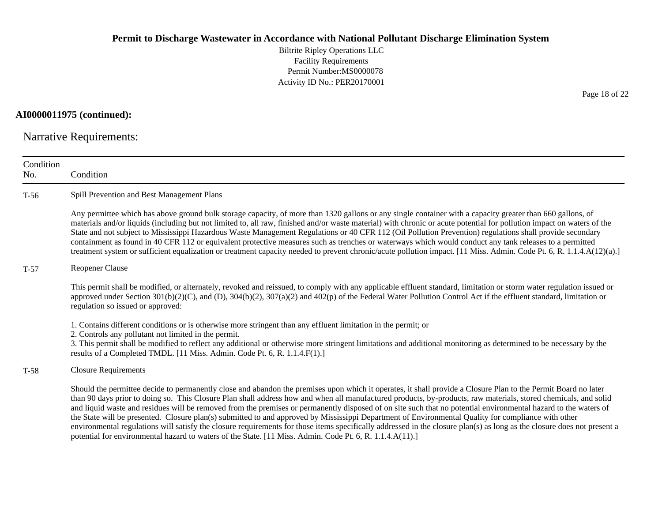Biltrite Ripley Operations LLC Facility Requirements Permit Number:MS0000078 Activity ID No.: PER20170001

**AI0000011975 (continued):**

Narrative Requirements:

| Condition<br>No. | Condition                                                                                                                                                                                                                                                                                                                                                                                                                                                                                                                                                                                                                                                                                                                                                                                                                                                                                                                                          |
|------------------|----------------------------------------------------------------------------------------------------------------------------------------------------------------------------------------------------------------------------------------------------------------------------------------------------------------------------------------------------------------------------------------------------------------------------------------------------------------------------------------------------------------------------------------------------------------------------------------------------------------------------------------------------------------------------------------------------------------------------------------------------------------------------------------------------------------------------------------------------------------------------------------------------------------------------------------------------|
| $T-56$           | Spill Prevention and Best Management Plans                                                                                                                                                                                                                                                                                                                                                                                                                                                                                                                                                                                                                                                                                                                                                                                                                                                                                                         |
|                  | Any permittee which has above ground bulk storage capacity, of more than 1320 gallons or any single container with a capacity greater than 660 gallons, of<br>materials and/or liquids (including but not limited to, all raw, finished and/or waste material) with chronic or acute potential for pollution impact on waters of the<br>State and not subject to Mississippi Hazardous Waste Management Regulations or 40 CFR 112 (Oil Pollution Prevention) regulations shall provide secondary<br>containment as found in 40 CFR 112 or equivalent protective measures such as trenches or waterways which would conduct any tank releases to a permitted<br>treatment system or sufficient equalization or treatment capacity needed to prevent chronic/acute pollution impact. [11 Miss. Admin. Code Pt. 6, R. 1.1.4.A(12)(a).]                                                                                                                |
| $T-57$           | <b>Reopener Clause</b>                                                                                                                                                                                                                                                                                                                                                                                                                                                                                                                                                                                                                                                                                                                                                                                                                                                                                                                             |
|                  | This permit shall be modified, or alternately, revoked and reissued, to comply with any applicable effluent standard, limitation or storm water regulation issued or<br>approved under Section $301(b)(2)(C)$ , and (D), $304(b)(2)$ , $307(a)(2)$ and $402(p)$ of the Federal Water Pollution Control Act if the effluent standard, limitation or<br>regulation so issued or approved:                                                                                                                                                                                                                                                                                                                                                                                                                                                                                                                                                            |
|                  | 1. Contains different conditions or is otherwise more stringent than any effluent limitation in the permit; or<br>2. Controls any pollutant not limited in the permit.<br>3. This permit shall be modified to reflect any additional or otherwise more stringent limitations and additional monitoring as determined to be necessary by the<br>results of a Completed TMDL. [11 Miss. Admin. Code Pt. 6, R. 1.1.4.F(1).]                                                                                                                                                                                                                                                                                                                                                                                                                                                                                                                           |
| $T-58$           | <b>Closure Requirements</b>                                                                                                                                                                                                                                                                                                                                                                                                                                                                                                                                                                                                                                                                                                                                                                                                                                                                                                                        |
|                  | Should the permittee decide to permanently close and abandon the premises upon which it operates, it shall provide a Closure Plan to the Permit Board no later<br>than 90 days prior to doing so. This Closure Plan shall address how and when all manufactured products, by-products, raw materials, stored chemicals, and solid<br>and liquid waste and residues will be removed from the premises or permanently disposed of on site such that no potential environmental hazard to the waters of<br>the State will be presented. Closure plan(s) submitted to and approved by Mississippi Department of Environmental Quality for compliance with other<br>environmental regulations will satisfy the closure requirements for those items specifically addressed in the closure plan(s) as long as the closure does not present a<br>potential for environmental hazard to waters of the State. [11 Miss. Admin. Code Pt. 6, R. 1.1.4.A(11).] |

Page 18 of 22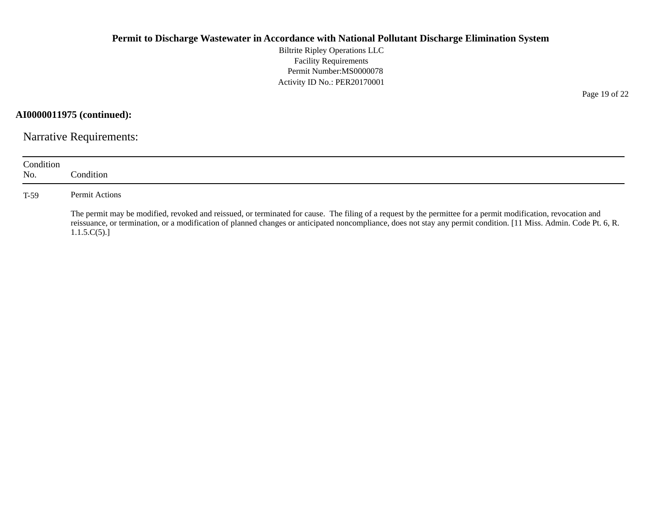Biltrite Ripley Operations LLC Facility Requirements Permit Number:MS0000078 Activity ID No.: PER20170001

**AI0000011975 (continued):**

Narrative Requirements:

| Condition<br>No. | Condition:                                                                                                                                                                                                                                                                                                                                         |
|------------------|----------------------------------------------------------------------------------------------------------------------------------------------------------------------------------------------------------------------------------------------------------------------------------------------------------------------------------------------------|
| T-59             | Permit Actions                                                                                                                                                                                                                                                                                                                                     |
|                  | The permit may be modified, revoked and reissued, or terminated for cause. The filing of a request by the permittee for a permit modification, revocation and<br>reissuance, or termination, or a modification of planned changes or anticipated noncompliance, does not stay any permit condition. [11 Miss. Admin. Code Pt. 6, R.<br>1.1.5.C(5). |

Page 19 of 22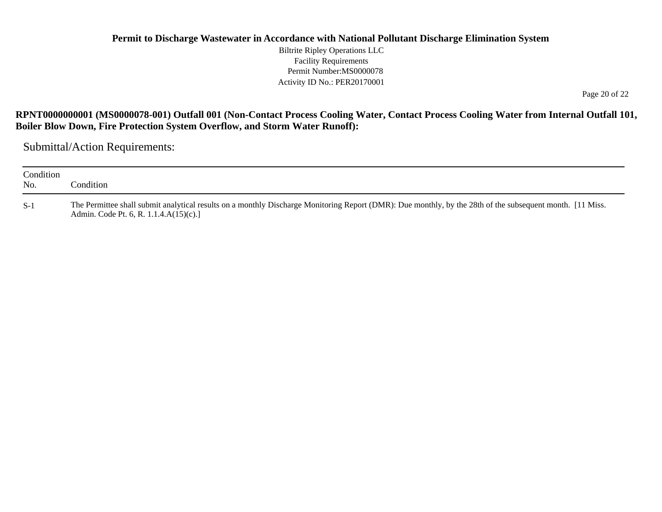Biltrite Ripley Operations LLC Facility Requirements Permit Number:MS0000078 Activity ID No.: PER20170001

Page 20 of 22

## **RPNT0000000001 (MS0000078-001) Outfall 001 (Non-Contact Process Cooling Water, Contact Process Cooling Water from Internal Outfall 101, Boiler Blow Down, Fire Protection System Overflow, and Storm Water Runoff):**

Submittal/Action Requirements:

| Condition<br>No. | Condition_                                                                                                                                                                                          |
|------------------|-----------------------------------------------------------------------------------------------------------------------------------------------------------------------------------------------------|
| $S-1$            | The Permittee shall submit analytical results on a monthly Discharge Monitoring Report (DMR): Due monthly, by the 28th of the subsequent month. [11 Miss.<br>Admin. Code Pt. 6, R. 1.1.4.A(15)(c).] |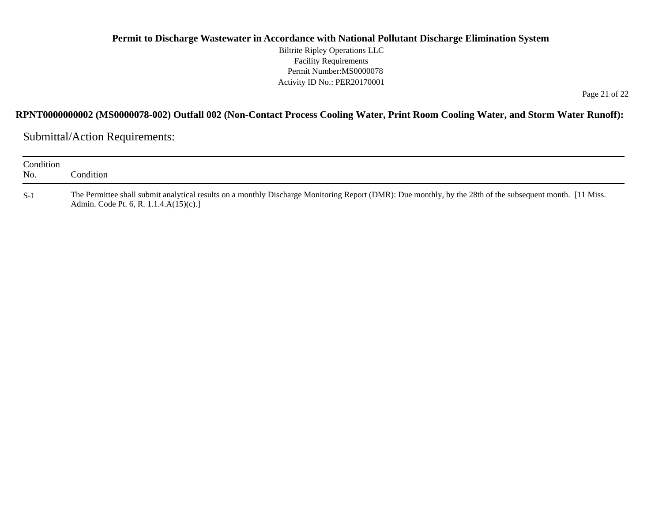#### **Permit to Discharge Wastewater in Accordance with National Pollutant Discharge Elimination System** Biltrite Ripley Operations LLC Facility Requirements Permit Number:MS0000078 Activity ID No.: PER20170001

Page 21 of 22

#### **RPNT0000000002 (MS0000078-002) Outfall 002 (Non-Contact Process Cooling Water, Print Room Cooling Water, and Storm Water Runoff):**

Submittal/Action Requirements:

| Condition<br>No. | Condition:                                                                                                                                                                                          |
|------------------|-----------------------------------------------------------------------------------------------------------------------------------------------------------------------------------------------------|
| $S-1$            | The Permittee shall submit analytical results on a monthly Discharge Monitoring Report (DMR): Due monthly, by the 28th of the subsequent month. [11 Miss.<br>Admin. Code Pt. 6, R. 1.1.4.A(15)(c).] |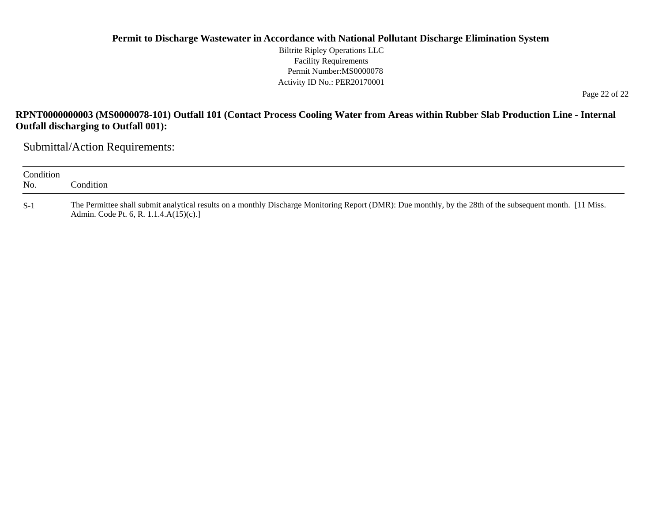#### **Permit to Discharge Wastewater in Accordance with National Pollutant Discharge Elimination System** Biltrite Ripley Operations LLC Facility Requirements Permit Number:MS0000078 Activity ID No.: PER20170001

Page 22 of 22

### **RPNT0000000003 (MS0000078-101) Outfall 101 (Contact Process Cooling Water from Areas within Rubber Slab Production Line - Internal Outfall discharging to Outfall 001):**

Submittal/Action Requirements:

| Condition<br>No. | Condition:                                                                                                                                                                                              |
|------------------|---------------------------------------------------------------------------------------------------------------------------------------------------------------------------------------------------------|
| $S-1$            | The Permittee shall submit analytical results on a monthly Discharge Monitoring Report (DMR): Due monthly, by the 28th of the subsequent month. [11 Miss.<br>Admin. Code Pt. 6, R. 1.1.4. $A(15)(c)$ .] |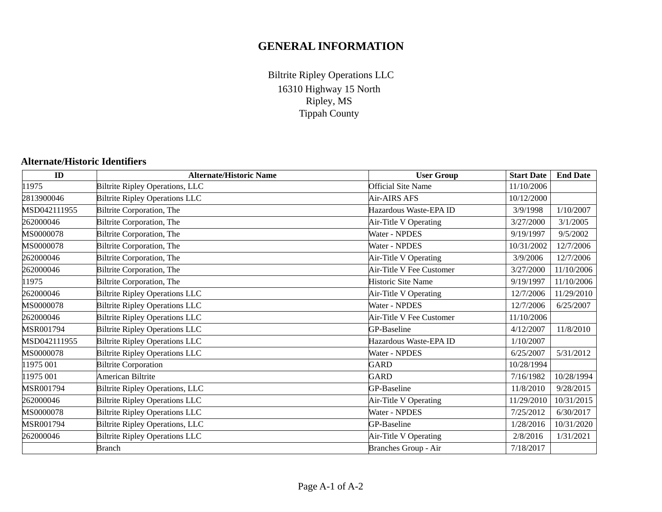# **GENERAL INFORMATION**

16310 Highway 15 North Ripley, MS Tippah County Biltrite Ripley Operations LLC

#### **Alternate/Historic Identifiers**

| ID           | <b>Alternate/Historic Name</b>         | <b>User Group</b>         | <b>Start Date</b> | <b>End Date</b> |
|--------------|----------------------------------------|---------------------------|-------------------|-----------------|
| 11975        | <b>Biltrite Ripley Operations, LLC</b> | <b>Official Site Name</b> | 11/10/2006        |                 |
| 2813900046   | <b>Biltrite Ripley Operations LLC</b>  | Air-AIRS AFS              | 10/12/2000        |                 |
| MSD042111955 | Biltrite Corporation, The              | Hazardous Waste-EPA ID    | 3/9/1998          | 1/10/2007       |
| 262000046    | Biltrite Corporation, The              | Air-Title V Operating     | 3/27/2000         | 3/1/2005        |
| MS0000078    | Biltrite Corporation, The              | Water - NPDES             | 9/19/1997         | 9/5/2002        |
| MS0000078    | Biltrite Corporation, The              | Water - NPDES             | 10/31/2002        | 12/7/2006       |
| 262000046    | Biltrite Corporation, The              | Air-Title V Operating     | 3/9/2006          | 12/7/2006       |
| 262000046    | Biltrite Corporation, The              | Air-Title V Fee Customer  | 3/27/2000         | 11/10/2006      |
| 11975        | Biltrite Corporation, The              | Historic Site Name        | 9/19/1997         | 11/10/2006      |
| 262000046    | <b>Biltrite Ripley Operations LLC</b>  | Air-Title V Operating     | 12/7/2006         | 11/29/2010      |
| MS0000078    | <b>Biltrite Ripley Operations LLC</b>  | Water - NPDES             | 12/7/2006         | 6/25/2007       |
| 262000046    | <b>Biltrite Ripley Operations LLC</b>  | Air-Title V Fee Customer  | 11/10/2006        |                 |
| MSR001794    | <b>Biltrite Ripley Operations LLC</b>  | GP-Baseline               | 4/12/2007         | 11/8/2010       |
| MSD042111955 | <b>Biltrite Ripley Operations LLC</b>  | Hazardous Waste-EPA ID    | 1/10/2007         |                 |
| MS0000078    | <b>Biltrite Ripley Operations LLC</b>  | Water - NPDES             | 6/25/2007         | 5/31/2012       |
| 11975 001    | <b>Biltrite Corporation</b>            | <b>GARD</b>               | 10/28/1994        |                 |
| 11975 001    | American Biltrite                      | <b>GARD</b>               | 7/16/1982         | 10/28/1994      |
| MSR001794    | <b>Biltrite Ripley Operations, LLC</b> | GP-Baseline               | 11/8/2010         | 9/28/2015       |
| 262000046    | <b>Biltrite Ripley Operations LLC</b>  | Air-Title V Operating     | 11/29/2010        | 10/31/2015      |
| MS0000078    | <b>Biltrite Ripley Operations LLC</b>  | Water - NPDES             | 7/25/2012         | 6/30/2017       |
| MSR001794    | Biltrite Ripley Operations, LLC        | GP-Baseline               | 1/28/2016         | 10/31/2020      |
| 262000046    | <b>Biltrite Ripley Operations LLC</b>  | Air-Title V Operating     | 2/8/2016          | 1/31/2021       |
|              | <b>Branch</b>                          | Branches Group - Air      | 7/18/2017         |                 |